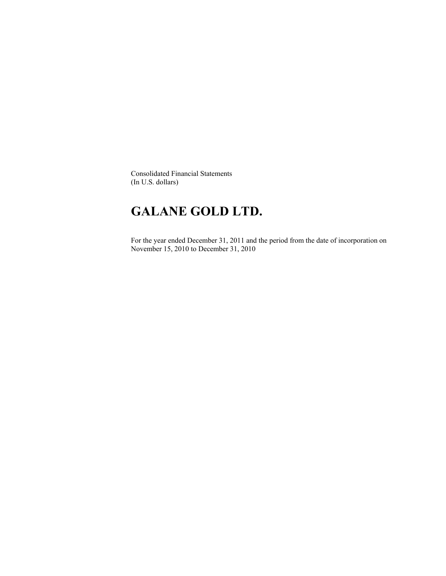Consolidated Financial Statements (In U.S. dollars)

# **GALANE GOLD LTD.**

For the year ended December 31, 2011 and the period from the date of incorporation on November 15, 2010 to December 31, 2010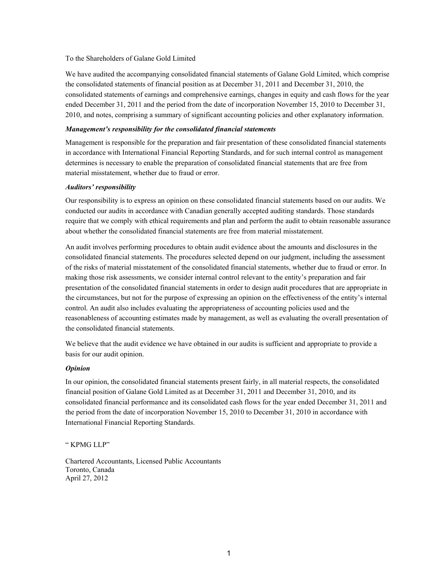#### To the Shareholders of Galane Gold Limited

We have audited the accompanying consolidated financial statements of Galane Gold Limited, which comprise the consolidated statements of financial position as at December 31, 2011 and December 31, 2010, the consolidated statements of earnings and comprehensive earnings, changes in equity and cash flows for the year ended December 31, 2011 and the period from the date of incorporation November 15, 2010 to December 31, 2010, and notes, comprising a summary of significant accounting policies and other explanatory information.

## *Management's responsibility for the consolidated financial statements*

Management is responsible for the preparation and fair presentation of these consolidated financial statements in accordance with International Financial Reporting Standards, and for such internal control as management determines is necessary to enable the preparation of consolidated financial statements that are free from material misstatement, whether due to fraud or error.

#### *Auditors' responsibility*

Our responsibility is to express an opinion on these consolidated financial statements based on our audits. We conducted our audits in accordance with Canadian generally accepted auditing standards. Those standards require that we comply with ethical requirements and plan and perform the audit to obtain reasonable assurance about whether the consolidated financial statements are free from material misstatement.

An audit involves performing procedures to obtain audit evidence about the amounts and disclosures in the consolidated financial statements. The procedures selected depend on our judgment, including the assessment of the risks of material misstatement of the consolidated financial statements, whether due to fraud or error. In making those risk assessments, we consider internal control relevant to the entity's preparation and fair presentation of the consolidated financial statements in order to design audit procedures that are appropriate in the circumstances, but not for the purpose of expressing an opinion on the effectiveness of the entity's internal control. An audit also includes evaluating the appropriateness of accounting policies used and the reasonableness of accounting estimates made by management, as well as evaluating the overall presentation of the consolidated financial statements.

We believe that the audit evidence we have obtained in our audits is sufficient and appropriate to provide a basis for our audit opinion.

### *Opinion*

In our opinion, the consolidated financial statements present fairly, in all material respects, the consolidated financial position of Galane Gold Limited as at December 31, 2011 and December 31, 2010, and its consolidated financial performance and its consolidated cash flows for the year ended December 31, 2011 and the period from the date of incorporation November 15, 2010 to December 31, 2010 in accordance with International Financial Reporting Standards.

" KPMG LLP"

Chartered Accountants, Licensed Public Accountants Toronto, Canada April 27, 2012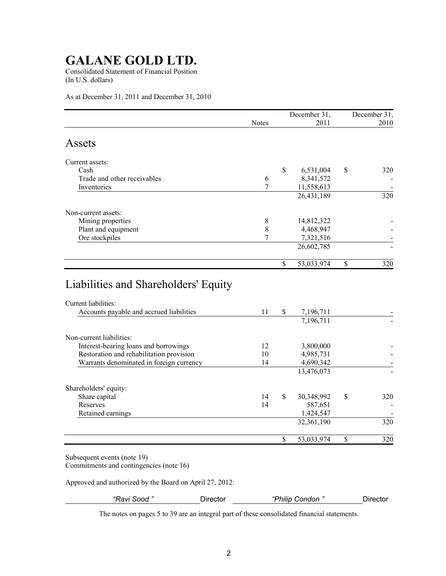Consolidated Statement of Financial Position (In U.S. dollars)

As at December 31, 2011 and December 31, 2010

|                                                                  |              |     | December 31, |               | December 31, |
|------------------------------------------------------------------|--------------|-----|--------------|---------------|--------------|
|                                                                  | <b>Notes</b> |     | 2011         |               | 2010         |
| Assets                                                           |              |     |              |               |              |
| Current assets:                                                  |              |     |              |               |              |
| Cash                                                             |              | \$  | 6,531,004    | $\mathcal{S}$ | 320          |
| Trade and other receivables                                      | 6            |     | 8,341,572    |               |              |
| Inventories                                                      | 7            |     | 11,558,613   |               |              |
|                                                                  |              |     | 26,431,189   |               | 320          |
| Non-current assets:                                              |              |     |              |               |              |
| Mining properties                                                | 8            |     | 14,812,322   |               |              |
| Plant and equipment                                              | 8            |     | 4,468,947    |               |              |
| Ore stockpiles                                                   | 7            |     | 7,321,516    |               |              |
|                                                                  |              |     | 26,602,785   |               |              |
|                                                                  |              | \$  | 53,033,974   | \$            | 320          |
| Liabilities and Shareholders' Equity                             |              |     |              |               |              |
| Current liabilities:<br>Accounts payable and accrued liabilities | 11           | -\$ | 7 196 711    |               |              |

| Accounts payable and accrued liabilities | 11 | \$            | 7,196,711  |    |     |
|------------------------------------------|----|---------------|------------|----|-----|
|                                          |    |               | 7,196,711  |    |     |
| Non-current liabilities:                 |    |               |            |    |     |
| Interest-bearing loans and borrowings    | 12 |               | 3,800,000  |    |     |
| Restoration and rehabilitation provision | 10 |               | 4,985,731  |    |     |
| Warrants denominated in foreign currency | 14 |               | 4,690,342  |    |     |
|                                          |    |               | 13,476,073 |    |     |
| Shareholders' equity:                    |    |               |            |    |     |
| Share capital                            | 14 | <sup>\$</sup> | 30,348,992 | S  | 320 |
| Reserves                                 | 14 |               | 587,651    |    |     |
| Retained earnings                        |    |               | 1,424,547  |    |     |
|                                          |    |               | 32,361,190 |    | 320 |
|                                          |    | \$            | 53,033,974 | \$ | 320 |

Subsequent events (note 19) Commitments and contingencies (note 16)

Approved and authorized by the Board on April 27, 2012:

*"Ravi Sood "* Director *"Philip Condon "* Director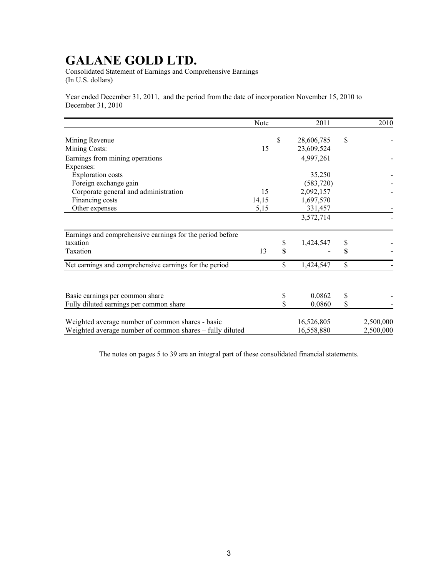Consolidated Statement of Earnings and Comprehensive Earnings (In U.S. dollars)

Year ended December 31, 2011, and the period from the date of incorporation November 15, 2010 to December 31, 2010

|                                                           | Note  | 2011                           |    | 2010      |
|-----------------------------------------------------------|-------|--------------------------------|----|-----------|
| Mining Revenue<br>Mining Costs:                           | 15    | \$<br>28,606,785<br>23,609,524 | \$ |           |
| Earnings from mining operations                           |       | 4,997,261                      |    |           |
| Expenses:                                                 |       |                                |    |           |
| <b>Exploration costs</b>                                  |       | 35,250                         |    |           |
| Foreign exchange gain                                     |       | (583, 720)                     |    |           |
| Corporate general and administration                      | 15    | 2,092,157                      |    |           |
| Financing costs                                           | 14,15 | 1,697,570                      |    |           |
| Other expenses                                            | 5,15  | 331,457                        |    |           |
|                                                           |       | 3,572,714                      |    |           |
| Earnings and comprehensive earnings for the period before |       |                                |    |           |
| taxation                                                  |       | \$<br>1,424,547                | \$ |           |
| Taxation                                                  | 13    | \$                             | S  |           |
| Net earnings and comprehensive earnings for the period    |       | \$<br>1,424,547                | \$ |           |
|                                                           |       |                                |    |           |
| Basic earnings per common share                           |       | \$<br>0.0862                   | \$ |           |
| Fully diluted earnings per common share                   |       | \$<br>0.0860                   | \$ |           |
| Weighted average number of common shares - basic          |       | 16,526,805                     |    | 2,500,000 |
| Weighted average number of common shares – fully diluted  |       | 16,558,880                     |    | 2,500,000 |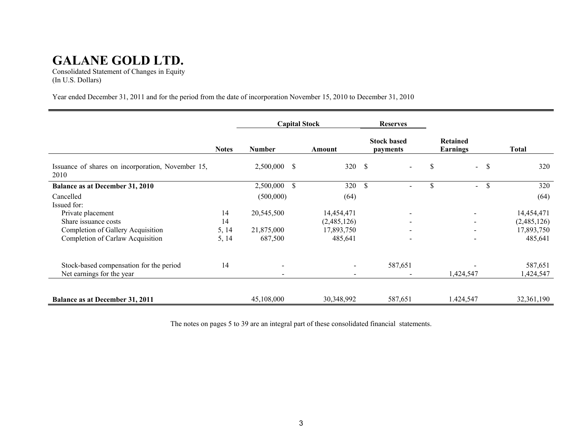Consolidated Statement of Changes in Equity (In U.S. Dollars)

Year ended December 31, 2011 and for the period from the date of incorporation November 15, 2010 to December 31, 2010

|                                                           |              | <b>Capital Stock</b>       |                          | <b>Reserves</b>                |                             |                      |
|-----------------------------------------------------------|--------------|----------------------------|--------------------------|--------------------------------|-----------------------------|----------------------|
|                                                           | <b>Notes</b> | <b>Number</b>              | Amount                   | <b>Stock based</b><br>payments | Retained<br><b>Earnings</b> | Total                |
| Issuance of shares on incorporation, November 15,<br>2010 |              | <sup>\$</sup><br>2,500,000 | 320S                     | $\blacksquare$                 | \$<br>$\blacksquare$        | <sup>\$</sup><br>320 |
| <b>Balance as at December 31, 2010</b>                    |              | $\mathcal{S}$<br>2,500,000 | 320                      | \$<br>$\overline{\phantom{a}}$ | \$.<br>$\blacksquare$       | <sup>\$</sup><br>320 |
| Cancelled                                                 |              | (500,000)                  | (64)                     |                                |                             | (64)                 |
| Issued for:                                               |              |                            |                          |                                |                             |                      |
| Private placement                                         | 14           | 20,545,500                 | 14,454,471               | $\overline{\phantom{a}}$       |                             | 14,454,471           |
| Share issuance costs                                      | 14           |                            | (2,485,126)              |                                |                             | (2,485,126)          |
| Completion of Gallery Acquisition                         | 5, 14        | 21,875,000                 | 17,893,750               |                                |                             | 17,893,750           |
| Completion of Carlaw Acquisition                          | 5, 14        | 687,500                    | 485,641                  | $\overline{\phantom{a}}$       |                             | 485,641              |
| Stock-based compensation for the period                   | 14           | $\overline{\phantom{a}}$   | $\overline{\phantom{a}}$ | 587,651                        |                             | 587,651              |
| Net earnings for the year                                 |              |                            |                          |                                | 1,424,547                   | 1,424,547            |
| <b>Balance as at December 31, 2011</b>                    |              | 45,108,000                 | 30,348,992               | 587,651                        | 1.424,547                   | 32,361,190           |
|                                                           |              |                            |                          |                                |                             |                      |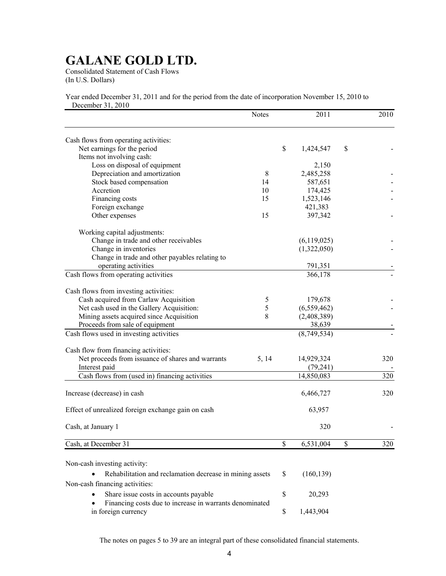Consolidated Statement of Cash Flows (In U.S. Dollars)

Year ended December 31, 2011 and for the period from the date of incorporation November 15, 2010 to December 31, 2010

|                                                                                            | <b>Notes</b>  | 2011            | 2010      |
|--------------------------------------------------------------------------------------------|---------------|-----------------|-----------|
| Cash flows from operating activities:                                                      |               |                 |           |
| Net earnings for the period                                                                |               | \$<br>1,424,547 | \$        |
| Items not involving cash:                                                                  |               |                 |           |
| Loss on disposal of equipment                                                              |               | 2,150           |           |
| Depreciation and amortization                                                              | $\,8\,$       | 2,485,258       |           |
| Stock based compensation                                                                   | 14            | 587,651         |           |
| Accretion                                                                                  | 10            | 174,425         |           |
| Financing costs                                                                            | 15            | 1,523,146       |           |
| Foreign exchange                                                                           |               | 421,383         |           |
| Other expenses                                                                             | 15            | 397,342         |           |
| Working capital adjustments:                                                               |               |                 |           |
| Change in trade and other receivables                                                      |               | (6,119,025)     |           |
| Change in inventories                                                                      |               | (1,322,050)     |           |
| Change in trade and other payables relating to                                             |               |                 |           |
| operating activities                                                                       |               | 791,351         |           |
| Cash flows from operating activities                                                       |               | 366,178         |           |
| Cash flows from investing activities:                                                      |               |                 |           |
| Cash acquired from Carlaw Acquisition                                                      | $\mathfrak s$ | 179,678         |           |
| Net cash used in the Gallery Acquisition:                                                  | 5             | (6, 559, 462)   |           |
| Mining assets acquired since Acquisition                                                   | 8             | (2,408,389)     |           |
| Proceeds from sale of equipment                                                            |               | 38,639          |           |
| Cash flows used in investing activities                                                    |               | (8,749,534)     |           |
|                                                                                            |               |                 |           |
| Cash flow from financing activities:                                                       |               |                 |           |
| Net proceeds from issuance of shares and warrants                                          | 5, 14         | 14,929,324      | 320       |
| Interest paid                                                                              |               | (79,241)        |           |
| Cash flows from (used in) financing activities                                             |               | 14,850,083      | 320       |
|                                                                                            |               |                 |           |
| Increase (decrease) in cash                                                                |               | 6,466,727       | 320       |
| Effect of unrealized foreign exchange gain on cash                                         |               | 63,957          |           |
| Cash, at January 1                                                                         |               | 320             |           |
|                                                                                            |               |                 |           |
| Cash, at December 31                                                                       |               | \$<br>6,531,004 | \$<br>320 |
| Non-cash investing activity:                                                               |               |                 |           |
|                                                                                            |               | \$              |           |
| Rehabilitation and reclamation decrease in mining assets<br>Non-cash financing activities: |               | (160, 139)      |           |
| Share issue costs in accounts payable                                                      |               | \$<br>20,293    |           |
| Financing costs due to increase in warrants denominated                                    |               |                 |           |
| in foreign currency                                                                        |               | \$<br>1,443,904 |           |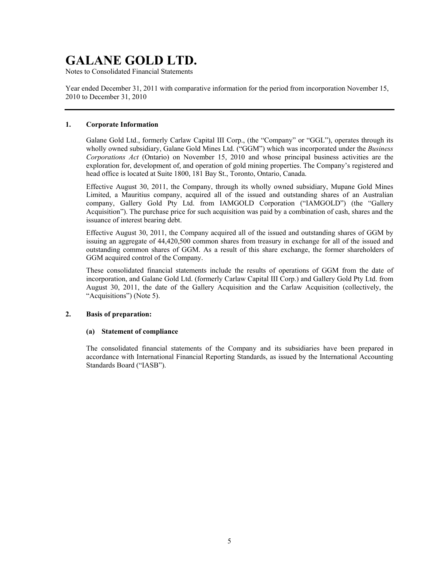Notes to Consolidated Financial Statements

Year ended December 31, 2011 with comparative information for the period from incorporation November 15, 2010 to December 31, 2010

### **1. Corporate Information**

Galane Gold Ltd., formerly Carlaw Capital III Corp., (the "Company" or "GGL"), operates through its wholly owned subsidiary, Galane Gold Mines Ltd. ("GGM") which was incorporated under the *Business Corporations Act* (Ontario) on November 15, 2010 and whose principal business activities are the exploration for, development of, and operation of gold mining properties. The Company's registered and head office is located at Suite 1800, 181 Bay St., Toronto, Ontario, Canada.

Effective August 30, 2011, the Company, through its wholly owned subsidiary, Mupane Gold Mines Limited, a Mauritius company, acquired all of the issued and outstanding shares of an Australian company, Gallery Gold Pty Ltd. from IAMGOLD Corporation ("IAMGOLD") (the "Gallery Acquisition"). The purchase price for such acquisition was paid by a combination of cash, shares and the issuance of interest bearing debt.

Effective August 30, 2011, the Company acquired all of the issued and outstanding shares of GGM by issuing an aggregate of 44,420,500 common shares from treasury in exchange for all of the issued and outstanding common shares of GGM. As a result of this share exchange, the former shareholders of GGM acquired control of the Company.

These consolidated financial statements include the results of operations of GGM from the date of incorporation, and Galane Gold Ltd. (formerly Carlaw Capital III Corp.) and Gallery Gold Pty Ltd. from August 30, 2011, the date of the Gallery Acquisition and the Carlaw Acquisition (collectively, the "Acquisitions") (Note 5).

### **2. Basis of preparation:**

#### **(a) Statement of compliance**

The consolidated financial statements of the Company and its subsidiaries have been prepared in accordance with International Financial Reporting Standards, as issued by the International Accounting Standards Board ("IASB").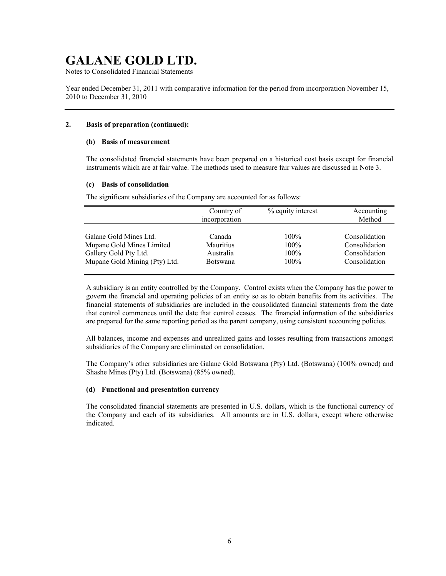Notes to Consolidated Financial Statements

Year ended December 31, 2011 with comparative information for the period from incorporation November 15, 2010 to December 31, 2010

### **2. Basis of preparation (continued):**

#### **(b) Basis of measurement**

The consolidated financial statements have been prepared on a historical cost basis except for financial instruments which are at fair value. The methods used to measure fair values are discussed in Note 3.

#### **(c) Basis of consolidation**

The significant subsidiaries of the Company are accounted for as follows:

|                               | Country of<br>incorporation | % equity interest | Accounting<br>Method |
|-------------------------------|-----------------------------|-------------------|----------------------|
| Galane Gold Mines Ltd.        | Canada                      | $100\%$           | Consolidation        |
| Mupane Gold Mines Limited     | <b>Mauritius</b>            | $100\%$           | Consolidation        |
| Gallery Gold Pty Ltd.         | Australia                   | 100%              | Consolidation        |
| Mupane Gold Mining (Pty) Ltd. | <b>Botswana</b>             | $100\%$           | Consolidation        |

A subsidiary is an entity controlled by the Company. Control exists when the Company has the power to govern the financial and operating policies of an entity so as to obtain benefits from its activities. The financial statements of subsidiaries are included in the consolidated financial statements from the date that control commences until the date that control ceases. The financial information of the subsidiaries are prepared for the same reporting period as the parent company, using consistent accounting policies.

All balances, income and expenses and unrealized gains and losses resulting from transactions amongst subsidiaries of the Company are eliminated on consolidation.

The Company's other subsidiaries are Galane Gold Botswana (Pty) Ltd. (Botswana) (100% owned) and Shashe Mines (Pty) Ltd. (Botswana) (85% owned).

#### **(d) Functional and presentation currency**

The consolidated financial statements are presented in U.S. dollars, which is the functional currency of the Company and each of its subsidiaries. All amounts are in U.S. dollars, except where otherwise indicated.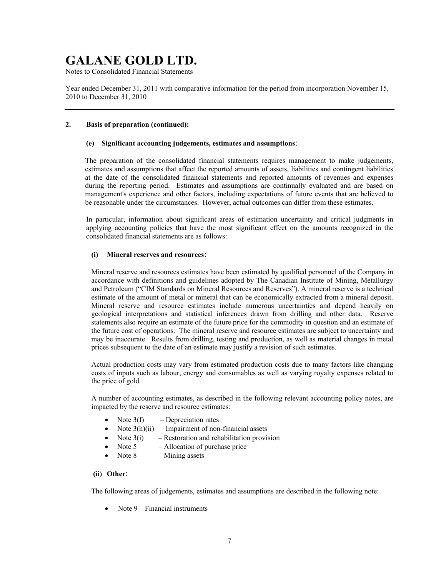Notes to Consolidated Financial Statements

Year ended December 31, 2011 with comparative information for the period from incorporation November 15, 2010 to December 31, 2010

## **2. Basis of preparation (continued):**

### **(e) Significant accounting judgements, estimates and assumptions**:

The preparation of the consolidated financial statements requires management to make judgements, estimates and assumptions that affect the reported amounts of assets, liabilities and contingent liabilities at the date of the consolidated financial statements and reported amounts of revenues and expenses during the reporting period. Estimates and assumptions are continually evaluated and are based on management's experience and other factors, including expectations of future events that are believed to be reasonable under the circumstances. However, actual outcomes can differ from these estimates.

In particular, information about significant areas of estimation uncertainty and critical judgments in applying accounting policies that have the most significant effect on the amounts recognized in the consolidated financial statements are as follows:

### **(i) Mineral reserves and resources**:

Mineral reserve and resources estimates have been estimated by qualified personnel of the Company in accordance with definitions and guidelines adopted by The Canadian Institute of Mining, Metallurgy and Petroleum ("CIM Standards on Mineral Resources and Reserves"). A mineral reserve is a technical estimate of the amount of metal or mineral that can be economically extracted from a mineral deposit. Mineral reserve and resource estimates include numerous uncertainties and depend heavily on geological interpretations and statistical inferences drawn from drilling and other data. Reserve statements also require an estimate of the future price for the commodity in question and an estimate of the future cost of operations. The mineral reserve and resource estimates are subject to uncertainty and may be inaccurate. Results from drilling, testing and production, as well as material changes in metal prices subsequent to the date of an estimate may justify a revision of such estimates.

Actual production costs may vary from estimated production costs due to many factors like changing costs of inputs such as labour, energy and consumables as well as varying royalty expenses related to the price of gold.

A number of accounting estimates, as described in the following relevant accounting policy notes, are impacted by the reserve and resource estimates:

- Note  $3(f)$  Depreciation rates
- Note  $3(h)(ii)$  Impairment of non-financial assets
- Note  $3(i)$  Restoration and rehabilitation provision
- Note  $5 -$  Allocation of purchase price
- Note 8 Mining assets

### **(ii) Other**:

The following areas of judgements, estimates and assumptions are described in the following note:

• Note  $9$  – Financial instruments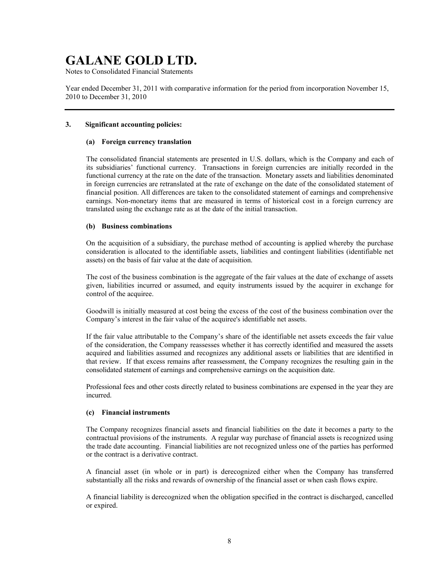Notes to Consolidated Financial Statements

Year ended December 31, 2011 with comparative information for the period from incorporation November 15, 2010 to December 31, 2010

### **3. Significant accounting policies:**

#### **(a) Foreign currency translation**

The consolidated financial statements are presented in U.S. dollars, which is the Company and each of its subsidiaries' functional currency. Transactions in foreign currencies are initially recorded in the functional currency at the rate on the date of the transaction. Monetary assets and liabilities denominated in foreign currencies are retranslated at the rate of exchange on the date of the consolidated statement of financial position. All differences are taken to the consolidated statement of earnings and comprehensive earnings. Non-monetary items that are measured in terms of historical cost in a foreign currency are translated using the exchange rate as at the date of the initial transaction.

#### **(b) Business combinations**

On the acquisition of a subsidiary, the purchase method of accounting is applied whereby the purchase consideration is allocated to the identifiable assets, liabilities and contingent liabilities (identifiable net assets) on the basis of fair value at the date of acquisition.

The cost of the business combination is the aggregate of the fair values at the date of exchange of assets given, liabilities incurred or assumed, and equity instruments issued by the acquirer in exchange for control of the acquiree.

Goodwill is initially measured at cost being the excess of the cost of the business combination over the Company's interest in the fair value of the acquiree's identifiable net assets.

If the fair value attributable to the Company's share of the identifiable net assets exceeds the fair value of the consideration, the Company reassesses whether it has correctly identified and measured the assets acquired and liabilities assumed and recognizes any additional assets or liabilities that are identified in that review. If that excess remains after reassessment, the Company recognizes the resulting gain in the consolidated statement of earnings and comprehensive earnings on the acquisition date.

Professional fees and other costs directly related to business combinations are expensed in the year they are incurred.

#### **(c) Financial instruments**

The Company recognizes financial assets and financial liabilities on the date it becomes a party to the contractual provisions of the instruments. A regular way purchase of financial assets is recognized using the trade date accounting. Financial liabilities are not recognized unless one of the parties has performed or the contract is a derivative contract.

A financial asset (in whole or in part) is derecognized either when the Company has transferred substantially all the risks and rewards of ownership of the financial asset or when cash flows expire.

A financial liability is derecognized when the obligation specified in the contract is discharged, cancelled or expired.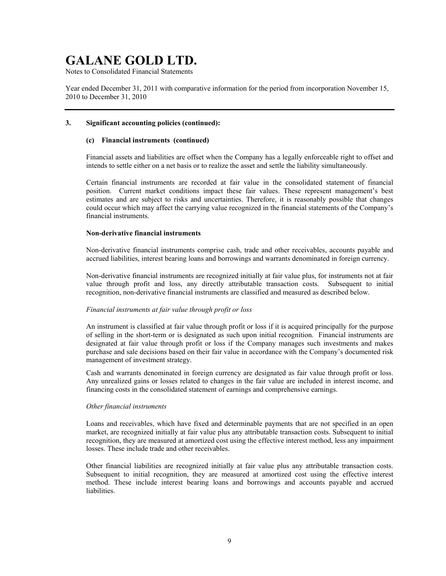Notes to Consolidated Financial Statements

Year ended December 31, 2011 with comparative information for the period from incorporation November 15, 2010 to December 31, 2010

#### **3. Significant accounting policies (continued):**

#### **(c) Financial instruments (continued)**

Financial assets and liabilities are offset when the Company has a legally enforceable right to offset and intends to settle either on a net basis or to realize the asset and settle the liability simultaneously.

Certain financial instruments are recorded at fair value in the consolidated statement of financial position. Current market conditions impact these fair values. These represent management's best estimates and are subject to risks and uncertainties. Therefore, it is reasonably possible that changes could occur which may affect the carrying value recognized in the financial statements of the Company's financial instruments.

#### **Non-derivative financial instruments**

Non-derivative financial instruments comprise cash, trade and other receivables, accounts payable and accrued liabilities, interest bearing loans and borrowings and warrants denominated in foreign currency.

Non-derivative financial instruments are recognized initially at fair value plus, for instruments not at fair value through profit and loss, any directly attributable transaction costs. Subsequent to initial recognition, non-derivative financial instruments are classified and measured as described below.

### *Financial instruments at fair value through profit or loss*

An instrument is classified at fair value through profit or loss if it is acquired principally for the purpose of selling in the short-term or is designated as such upon initial recognition. Financial instruments are designated at fair value through profit or loss if the Company manages such investments and makes purchase and sale decisions based on their fair value in accordance with the Company's documented risk management of investment strategy.

Cash and warrants denominated in foreign currency are designated as fair value through profit or loss. Any unrealized gains or losses related to changes in the fair value are included in interest income, and financing costs in the consolidated statement of earnings and comprehensive earnings.

#### *Other financial instruments*

Loans and receivables, which have fixed and determinable payments that are not specified in an open market, are recognized initially at fair value plus any attributable transaction costs. Subsequent to initial recognition, they are measured at amortized cost using the effective interest method, less any impairment losses. These include trade and other receivables.

Other financial liabilities are recognized initially at fair value plus any attributable transaction costs. Subsequent to initial recognition, they are measured at amortized cost using the effective interest method. These include interest bearing loans and borrowings and accounts payable and accrued liabilities.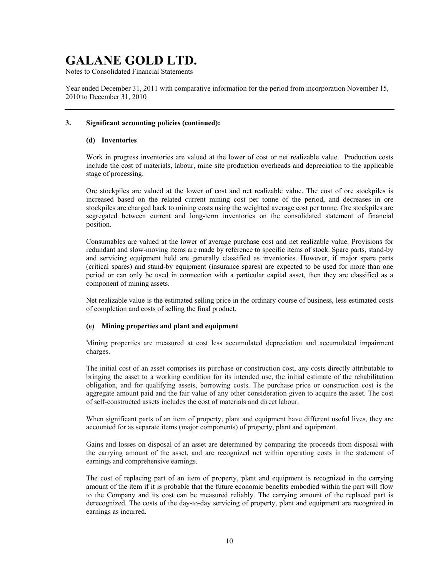Notes to Consolidated Financial Statements

Year ended December 31, 2011 with comparative information for the period from incorporation November 15, 2010 to December 31, 2010

### **3. Significant accounting policies (continued):**

#### **(d) Inventories**

Work in progress inventories are valued at the lower of cost or net realizable value. Production costs include the cost of materials, labour, mine site production overheads and depreciation to the applicable stage of processing.

Ore stockpiles are valued at the lower of cost and net realizable value. The cost of ore stockpiles is increased based on the related current mining cost per tonne of the period, and decreases in ore stockpiles are charged back to mining costs using the weighted average cost per tonne. Ore stockpiles are segregated between current and long-term inventories on the consolidated statement of financial position.

Consumables are valued at the lower of average purchase cost and net realizable value. Provisions for redundant and slow-moving items are made by reference to specific items of stock. Spare parts, stand-by and servicing equipment held are generally classified as inventories. However, if major spare parts (critical spares) and stand-by equipment (insurance spares) are expected to be used for more than one period or can only be used in connection with a particular capital asset, then they are classified as a component of mining assets.

Net realizable value is the estimated selling price in the ordinary course of business, less estimated costs of completion and costs of selling the final product.

### **(e) Mining properties and plant and equipment**

Mining properties are measured at cost less accumulated depreciation and accumulated impairment charges.

The initial cost of an asset comprises its purchase or construction cost, any costs directly attributable to bringing the asset to a working condition for its intended use, the initial estimate of the rehabilitation obligation, and for qualifying assets, borrowing costs. The purchase price or construction cost is the aggregate amount paid and the fair value of any other consideration given to acquire the asset. The cost of self-constructed assets includes the cost of materials and direct labour.

When significant parts of an item of property, plant and equipment have different useful lives, they are accounted for as separate items (major components) of property, plant and equipment.

Gains and losses on disposal of an asset are determined by comparing the proceeds from disposal with the carrying amount of the asset, and are recognized net within operating costs in the statement of earnings and comprehensive earnings.

The cost of replacing part of an item of property, plant and equipment is recognized in the carrying amount of the item if it is probable that the future economic benefits embodied within the part will flow to the Company and its cost can be measured reliably. The carrying amount of the replaced part is derecognized. The costs of the day-to-day servicing of property, plant and equipment are recognized in earnings as incurred.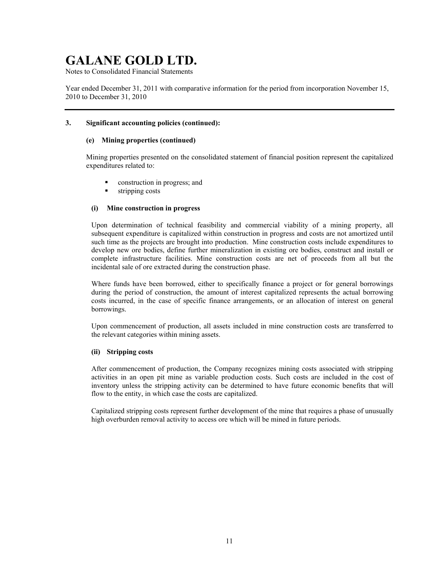Notes to Consolidated Financial Statements

Year ended December 31, 2011 with comparative information for the period from incorporation November 15, 2010 to December 31, 2010

### **3. Significant accounting policies (continued):**

## **(e) Mining properties (continued)**

Mining properties presented on the consolidated statement of financial position represent the capitalized expenditures related to:

- construction in progress; and
- stripping costs

## **(i) Mine construction in progress**

Upon determination of technical feasibility and commercial viability of a mining property, all subsequent expenditure is capitalized within construction in progress and costs are not amortized until such time as the projects are brought into production. Mine construction costs include expenditures to develop new ore bodies, define further mineralization in existing ore bodies, construct and install or complete infrastructure facilities. Mine construction costs are net of proceeds from all but the incidental sale of ore extracted during the construction phase.

Where funds have been borrowed, either to specifically finance a project or for general borrowings during the period of construction, the amount of interest capitalized represents the actual borrowing costs incurred, in the case of specific finance arrangements, or an allocation of interest on general borrowings.

Upon commencement of production, all assets included in mine construction costs are transferred to the relevant categories within mining assets.

### **(ii) Stripping costs**

After commencement of production, the Company recognizes mining costs associated with stripping activities in an open pit mine as variable production costs. Such costs are included in the cost of inventory unless the stripping activity can be determined to have future economic benefits that will flow to the entity, in which case the costs are capitalized.

Capitalized stripping costs represent further development of the mine that requires a phase of unusually high overburden removal activity to access ore which will be mined in future periods.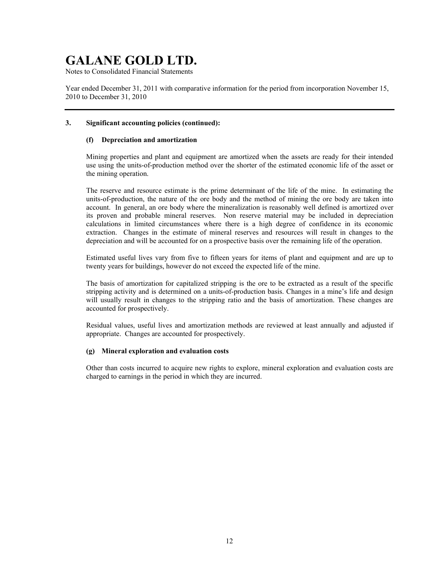Notes to Consolidated Financial Statements

Year ended December 31, 2011 with comparative information for the period from incorporation November 15, 2010 to December 31, 2010

### **3. Significant accounting policies (continued):**

## **(f) Depreciation and amortization**

Mining properties and plant and equipment are amortized when the assets are ready for their intended use using the units-of-production method over the shorter of the estimated economic life of the asset or the mining operation.

The reserve and resource estimate is the prime determinant of the life of the mine. In estimating the units-of-production, the nature of the ore body and the method of mining the ore body are taken into account. In general, an ore body where the mineralization is reasonably well defined is amortized over its proven and probable mineral reserves. Non reserve material may be included in depreciation calculations in limited circumstances where there is a high degree of confidence in its economic extraction. Changes in the estimate of mineral reserves and resources will result in changes to the depreciation and will be accounted for on a prospective basis over the remaining life of the operation.

Estimated useful lives vary from five to fifteen years for items of plant and equipment and are up to twenty years for buildings, however do not exceed the expected life of the mine.

The basis of amortization for capitalized stripping is the ore to be extracted as a result of the specific stripping activity and is determined on a units-of-production basis. Changes in a mine's life and design will usually result in changes to the stripping ratio and the basis of amortization. These changes are accounted for prospectively.

Residual values, useful lives and amortization methods are reviewed at least annually and adjusted if appropriate. Changes are accounted for prospectively.

### **(g) Mineral exploration and evaluation costs**

Other than costs incurred to acquire new rights to explore, mineral exploration and evaluation costs are charged to earnings in the period in which they are incurred.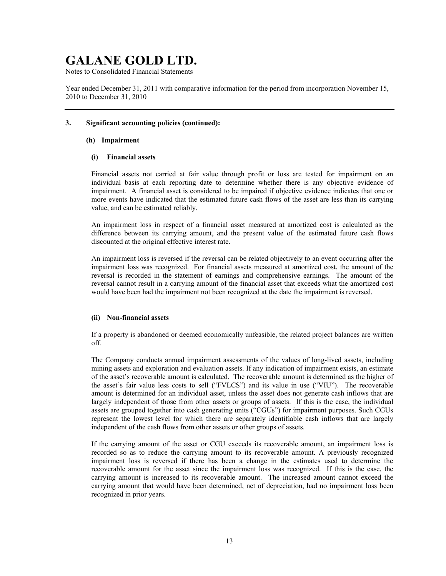Notes to Consolidated Financial Statements

Year ended December 31, 2011 with comparative information for the period from incorporation November 15, 2010 to December 31, 2010

#### **3. Significant accounting policies (continued):**

#### **(h) Impairment**

#### **(i) Financial assets**

Financial assets not carried at fair value through profit or loss are tested for impairment on an individual basis at each reporting date to determine whether there is any objective evidence of impairment. A financial asset is considered to be impaired if objective evidence indicates that one or more events have indicated that the estimated future cash flows of the asset are less than its carrying value, and can be estimated reliably.

An impairment loss in respect of a financial asset measured at amortized cost is calculated as the difference between its carrying amount, and the present value of the estimated future cash flows discounted at the original effective interest rate.

An impairment loss is reversed if the reversal can be related objectively to an event occurring after the impairment loss was recognized. For financial assets measured at amortized cost, the amount of the reversal is recorded in the statement of earnings and comprehensive earnings. The amount of the reversal cannot result in a carrying amount of the financial asset that exceeds what the amortized cost would have been had the impairment not been recognized at the date the impairment is reversed.

### **(ii) Non-financial assets**

If a property is abandoned or deemed economically unfeasible, the related project balances are written off.

The Company conducts annual impairment assessments of the values of long-lived assets, including mining assets and exploration and evaluation assets. If any indication of impairment exists, an estimate of the asset's recoverable amount is calculated. The recoverable amount is determined as the higher of the asset's fair value less costs to sell ("FVLCS") and its value in use ("VIU"). The recoverable amount is determined for an individual asset, unless the asset does not generate cash inflows that are largely independent of those from other assets or groups of assets. If this is the case, the individual assets are grouped together into cash generating units ("CGUs") for impairment purposes. Such CGUs represent the lowest level for which there are separately identifiable cash inflows that are largely independent of the cash flows from other assets or other groups of assets.

If the carrying amount of the asset or CGU exceeds its recoverable amount, an impairment loss is recorded so as to reduce the carrying amount to its recoverable amount. A previously recognized impairment loss is reversed if there has been a change in the estimates used to determine the recoverable amount for the asset since the impairment loss was recognized. If this is the case, the carrying amount is increased to its recoverable amount. The increased amount cannot exceed the carrying amount that would have been determined, net of depreciation, had no impairment loss been recognized in prior years.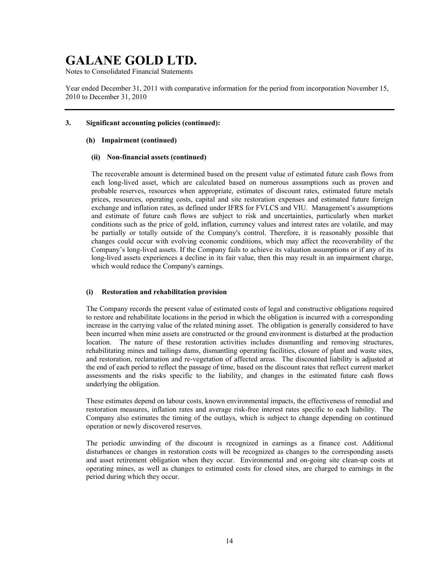Notes to Consolidated Financial Statements

Year ended December 31, 2011 with comparative information for the period from incorporation November 15, 2010 to December 31, 2010

## **3. Significant accounting policies (continued):**

### **(h) Impairment (continued)**

#### **(ii) Non-financial assets (continued)**

The recoverable amount is determined based on the present value of estimated future cash flows from each long-lived asset, which are calculated based on numerous assumptions such as proven and probable reserves, resources when appropriate, estimates of discount rates, estimated future metals prices, resources, operating costs, capital and site restoration expenses and estimated future foreign exchange and inflation rates, as defined under IFRS for FVLCS and VIU. Management's assumptions and estimate of future cash flows are subject to risk and uncertainties, particularly when market conditions such as the price of gold, inflation, currency values and interest rates are volatile, and may be partially or totally outside of the Company's control. Therefore, it is reasonably possible that changes could occur with evolving economic conditions, which may affect the recoverability of the Company's long-lived assets. If the Company fails to achieve its valuation assumptions or if any of its long-lived assets experiences a decline in its fair value, then this may result in an impairment charge, which would reduce the Company's earnings.

### **(i) Restoration and rehabilitation provision**

The Company records the present value of estimated costs of legal and constructive obligations required to restore and rehabilitate locations in the period in which the obligation is incurred with a corresponding increase in the carrying value of the related mining asset. The obligation is generally considered to have been incurred when mine assets are constructed or the ground environment is disturbed at the production location. The nature of these restoration activities includes dismantling and removing structures, rehabilitating mines and tailings dams, dismantling operating facilities, closure of plant and waste sites, and restoration, reclamation and re-vegetation of affected areas. The discounted liability is adjusted at the end of each period to reflect the passage of time, based on the discount rates that reflect current market assessments and the risks specific to the liability, and changes in the estimated future cash flows underlying the obligation.

These estimates depend on labour costs, known environmental impacts, the effectiveness of remedial and restoration measures, inflation rates and average risk-free interest rates specific to each liability. The Company also estimates the timing of the outlays, which is subject to change depending on continued operation or newly discovered reserves.

The periodic unwinding of the discount is recognized in earnings as a finance cost. Additional disturbances or changes in restoration costs will be recognized as changes to the corresponding assets and asset retirement obligation when they occur. Environmental and on-going site clean-up costs at operating mines, as well as changes to estimated costs for closed sites, are charged to earnings in the period during which they occur.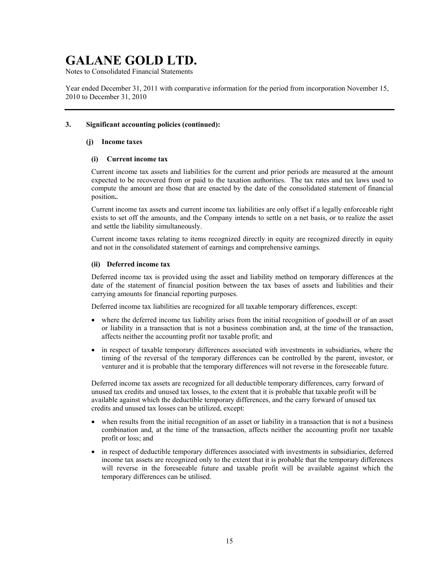Notes to Consolidated Financial Statements

Year ended December 31, 2011 with comparative information for the period from incorporation November 15, 2010 to December 31, 2010

### **3. Significant accounting policies (continued):**

### **(j) Income taxes**

#### **(i) Current income tax**

Current income tax assets and liabilities for the current and prior periods are measured at the amount expected to be recovered from or paid to the taxation authorities. The tax rates and tax laws used to compute the amount are those that are enacted by the date of the consolidated statement of financial position**.**.

Current income tax assets and current income tax liabilities are only offset if a legally enforceable right exists to set off the amounts, and the Company intends to settle on a net basis, or to realize the asset and settle the liability simultaneously.

Current income taxes relating to items recognized directly in equity are recognized directly in equity and not in the consolidated statement of earnings and comprehensive earnings.

### **(ii) Deferred income tax**

Deferred income tax is provided using the asset and liability method on temporary differences at the date of the statement of financial position between the tax bases of assets and liabilities and their carrying amounts for financial reporting purposes.

Deferred income tax liabilities are recognized for all taxable temporary differences, except:

- where the deferred income tax liability arises from the initial recognition of goodwill or of an asset or liability in a transaction that is not a business combination and, at the time of the transaction, affects neither the accounting profit nor taxable profit; and
- in respect of taxable temporary differences associated with investments in subsidiaries, where the timing of the reversal of the temporary differences can be controlled by the parent, investor, or venturer and it is probable that the temporary differences will not reverse in the foreseeable future.

Deferred income tax assets are recognized for all deductible temporary differences, carry forward of unused tax credits and unused tax losses, to the extent that it is probable that taxable profit will be available against which the deductible temporary differences, and the carry forward of unused tax credits and unused tax losses can be utilized, except:

- when results from the initial recognition of an asset or liability in a transaction that is not a business combination and, at the time of the transaction, affects neither the accounting profit nor taxable profit or loss; and
- in respect of deductible temporary differences associated with investments in subsidiaries, deferred income tax assets are recognized only to the extent that it is probable that the temporary differences will reverse in the foreseeable future and taxable profit will be available against which the temporary differences can be utilised.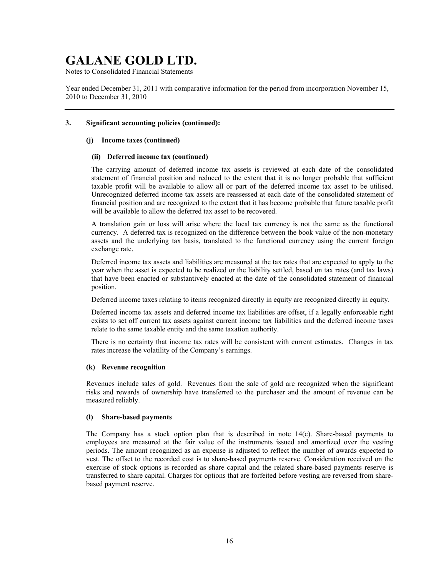Notes to Consolidated Financial Statements

Year ended December 31, 2011 with comparative information for the period from incorporation November 15, 2010 to December 31, 2010

## **3. Significant accounting policies (continued):**

#### **(j) Income taxes (continued)**

#### **(ii) Deferred income tax (continued)**

The carrying amount of deferred income tax assets is reviewed at each date of the consolidated statement of financial position and reduced to the extent that it is no longer probable that sufficient taxable profit will be available to allow all or part of the deferred income tax asset to be utilised. Unrecognized deferred income tax assets are reassessed at each date of the consolidated statement of financial position and are recognized to the extent that it has become probable that future taxable profit will be available to allow the deferred tax asset to be recovered.

A translation gain or loss will arise where the local tax currency is not the same as the functional currency. A deferred tax is recognized on the difference between the book value of the non-monetary assets and the underlying tax basis, translated to the functional currency using the current foreign exchange rate.

Deferred income tax assets and liabilities are measured at the tax rates that are expected to apply to the year when the asset is expected to be realized or the liability settled, based on tax rates (and tax laws) that have been enacted or substantively enacted at the date of the consolidated statement of financial position.

Deferred income taxes relating to items recognized directly in equity are recognized directly in equity.

Deferred income tax assets and deferred income tax liabilities are offset, if a legally enforceable right exists to set off current tax assets against current income tax liabilities and the deferred income taxes relate to the same taxable entity and the same taxation authority.

There is no certainty that income tax rates will be consistent with current estimates. Changes in tax rates increase the volatility of the Company's earnings.

#### **(k) Revenue recognition**

Revenues include sales of gold. Revenues from the sale of gold are recognized when the significant risks and rewards of ownership have transferred to the purchaser and the amount of revenue can be measured reliably.

#### **(l) Share-based payments**

The Company has a stock option plan that is described in note 14(c). Share-based payments to employees are measured at the fair value of the instruments issued and amortized over the vesting periods. The amount recognized as an expense is adjusted to reflect the number of awards expected to vest. The offset to the recorded cost is to share-based payments reserve. Consideration received on the exercise of stock options is recorded as share capital and the related share-based payments reserve is transferred to share capital. Charges for options that are forfeited before vesting are reversed from sharebased payment reserve.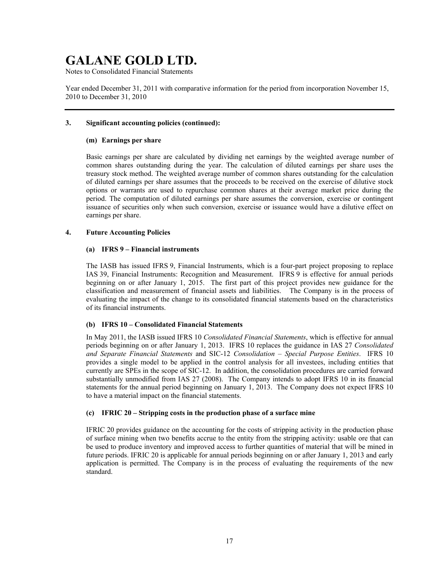Notes to Consolidated Financial Statements

Year ended December 31, 2011 with comparative information for the period from incorporation November 15, 2010 to December 31, 2010

### **3. Significant accounting policies (continued):**

#### **(m) Earnings per share**

Basic earnings per share are calculated by dividing net earnings by the weighted average number of common shares outstanding during the year. The calculation of diluted earnings per share uses the treasury stock method. The weighted average number of common shares outstanding for the calculation of diluted earnings per share assumes that the proceeds to be received on the exercise of dilutive stock options or warrants are used to repurchase common shares at their average market price during the period. The computation of diluted earnings per share assumes the conversion, exercise or contingent issuance of securities only when such conversion, exercise or issuance would have a dilutive effect on earnings per share.

## **4. Future Accounting Policies**

#### **(a) IFRS 9 – Financial instruments**

The IASB has issued IFRS 9, Financial Instruments, which is a four-part project proposing to replace IAS 39, Financial Instruments: Recognition and Measurement. IFRS 9 is effective for annual periods beginning on or after January 1, 2015. The first part of this project provides new guidance for the classification and measurement of financial assets and liabilities. The Company is in the process of evaluating the impact of the change to its consolidated financial statements based on the characteristics of its financial instruments.

### **(b) IFRS 10 – Consolidated Financial Statements**

In May 2011, the IASB issued IFRS 10 *Consolidated Financial Statements*, which is effective for annual periods beginning on or after January 1, 2013. IFRS 10 replaces the guidance in IAS 27 *Consolidated and Separate Financial Statements* and SIC-12 *Consolidation – Special Purpose Entities*. IFRS 10 provides a single model to be applied in the control analysis for all investees, including entities that currently are SPEs in the scope of SIC-12. In addition, the consolidation procedures are carried forward substantially unmodified from IAS 27 (2008). The Company intends to adopt IFRS 10 in its financial statements for the annual period beginning on January 1, 2013. The Company does not expect IFRS 10 to have a material impact on the financial statements.

#### **(c) IFRIC 20 – Stripping costs in the production phase of a surface mine**

IFRIC 20 provides guidance on the accounting for the costs of stripping activity in the production phase of surface mining when two benefits accrue to the entity from the stripping activity: usable ore that can be used to produce inventory and improved access to further quantities of material that will be mined in future periods. IFRIC 20 is applicable for annual periods beginning on or after January 1, 2013 and early application is permitted. The Company is in the process of evaluating the requirements of the new standard.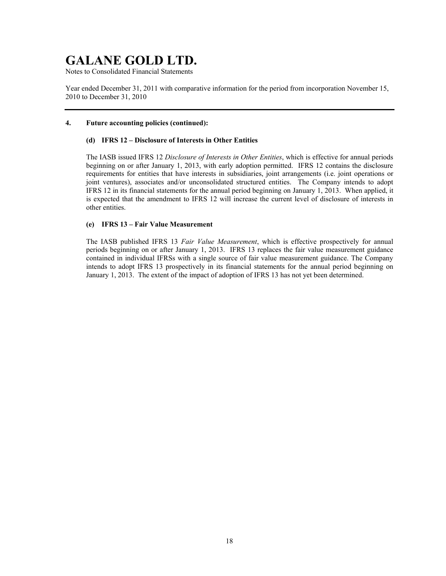Notes to Consolidated Financial Statements

Year ended December 31, 2011 with comparative information for the period from incorporation November 15, 2010 to December 31, 2010

### **4. Future accounting policies (continued):**

## **(d) IFRS 12 – Disclosure of Interests in Other Entities**

The IASB issued IFRS 12 *Disclosure of Interests in Other Entities*, which is effective for annual periods beginning on or after January 1, 2013, with early adoption permitted. IFRS 12 contains the disclosure requirements for entities that have interests in subsidiaries, joint arrangements (i.e. joint operations or joint ventures), associates and/or unconsolidated structured entities. The Company intends to adopt IFRS 12 in its financial statements for the annual period beginning on January 1, 2013. When applied, it is expected that the amendment to IFRS 12 will increase the current level of disclosure of interests in other entities.

### **(e) IFRS 13 – Fair Value Measurement**

The IASB published IFRS 13 *Fair Value Measurement*, which is effective prospectively for annual periods beginning on or after January 1, 2013. IFRS 13 replaces the fair value measurement guidance contained in individual IFRSs with a single source of fair value measurement guidance. The Company intends to adopt IFRS 13 prospectively in its financial statements for the annual period beginning on January 1, 2013. The extent of the impact of adoption of IFRS 13 has not yet been determined.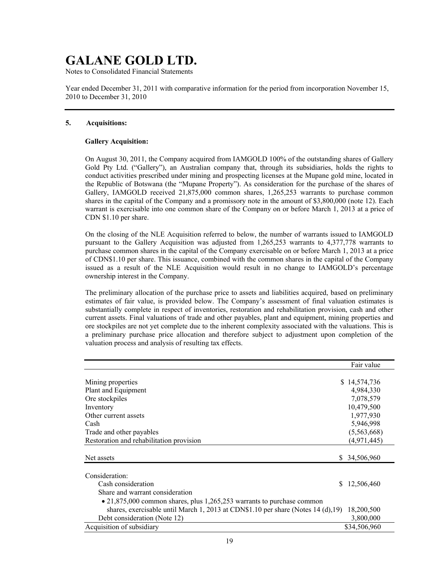Notes to Consolidated Financial Statements

Year ended December 31, 2011 with comparative information for the period from incorporation November 15, 2010 to December 31, 2010

### **5. Acquisitions:**

## **Gallery Acquisition:**

On August 30, 2011, the Company acquired from IAMGOLD 100% of the outstanding shares of Gallery Gold Pty Ltd. ("Gallery"), an Australian company that, through its subsidiaries, holds the rights to conduct activities prescribed under mining and prospecting licenses at the Mupane gold mine, located in the Republic of Botswana (the "Mupane Property"). As consideration for the purchase of the shares of Gallery, IAMGOLD received 21,875,000 common shares, 1,265,253 warrants to purchase common shares in the capital of the Company and a promissory note in the amount of \$3,800,000 (note 12). Each warrant is exercisable into one common share of the Company on or before March 1, 2013 at a price of CDN \$1.10 per share.

On the closing of the NLE Acquisition referred to below, the number of warrants issued to IAMGOLD pursuant to the Gallery Acquisition was adjusted from 1,265,253 warrants to 4,377,778 warrants to purchase common shares in the capital of the Company exercisable on or before March 1, 2013 at a price of CDN\$1.10 per share. This issuance, combined with the common shares in the capital of the Company issued as a result of the NLE Acquisition would result in no change to IAMGOLD's percentage ownership interest in the Company.

The preliminary allocation of the purchase price to assets and liabilities acquired, based on preliminary estimates of fair value, is provided below. The Company's assessment of final valuation estimates is substantially complete in respect of inventories, restoration and rehabilitation provision, cash and other current assets. Final valuations of trade and other payables, plant and equipment, mining properties and ore stockpiles are not yet complete due to the inherent complexity associated with the valuations. This is a preliminary purchase price allocation and therefore subject to adjustment upon completion of the valuation process and analysis of resulting tax effects.

|                                                                                     |    | Fair value    |
|-------------------------------------------------------------------------------------|----|---------------|
|                                                                                     |    |               |
| Mining properties                                                                   |    | \$14,574,736  |
| Plant and Equipment                                                                 |    | 4,984,330     |
| Ore stockpiles                                                                      |    | 7,078,579     |
| Inventory                                                                           |    | 10,479,500    |
| Other current assets                                                                |    | 1,977,930     |
| Cash                                                                                |    | 5,946,998     |
| Trade and other payables                                                            |    | (5,563,668)   |
| Restoration and rehabilitation provision                                            |    | (4,971,445)   |
|                                                                                     |    |               |
| Net assets                                                                          |    | \$ 34,506,960 |
| Consideration:                                                                      |    |               |
| Cash consideration                                                                  | S. | 12,506,460    |
| Share and warrant consideration                                                     |    |               |
| $\bullet$ 21,875,000 common shares, plus 1,265,253 warrants to purchase common      |    |               |
| shares, exercisable until March 1, 2013 at CDN\$1.10 per share (Notes $14$ (d), 19) |    | 18,200,500    |
| Debt consideration (Note 12)                                                        |    | 3,800,000     |
| Acquisition of subsidiary                                                           |    | \$34,506,960  |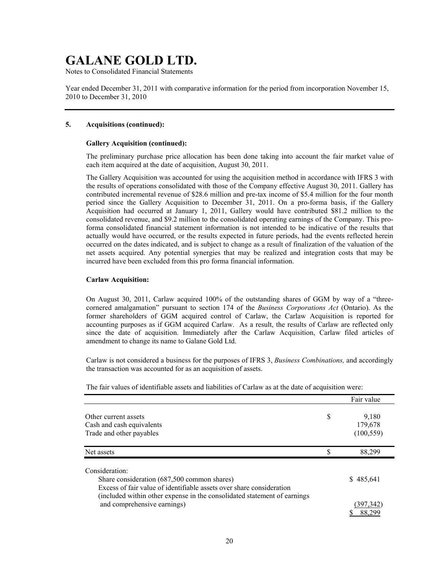Notes to Consolidated Financial Statements

Year ended December 31, 2011 with comparative information for the period from incorporation November 15, 2010 to December 31, 2010

#### **5. Acquisitions (continued):**

#### **Gallery Acquisition (continued):**

The preliminary purchase price allocation has been done taking into account the fair market value of each item acquired at the date of acquisition, August 30, 2011.

The Gallery Acquisition was accounted for using the acquisition method in accordance with IFRS 3 with the results of operations consolidated with those of the Company effective August 30, 2011. Gallery has contributed incremental revenue of \$28.6 million and pre-tax income of \$5.4 million for the four month period since the Gallery Acquisition to December 31, 2011. On a pro-forma basis, if the Gallery Acquisition had occurred at January 1, 2011, Gallery would have contributed \$81.2 million to the consolidated revenue, and \$9.2 million to the consolidated operating earnings of the Company. This proforma consolidated financial statement information is not intended to be indicative of the results that actually would have occurred, or the results expected in future periods, had the events reflected herein occurred on the dates indicated, and is subject to change as a result of finalization of the valuation of the net assets acquired. Any potential synergies that may be realized and integration costs that may be incurred have been excluded from this pro forma financial information.

#### **Carlaw Acquisition:**

On August 30, 2011, Carlaw acquired 100% of the outstanding shares of GGM by way of a "threecornered amalgamation" pursuant to section 174 of the *Business Corporations Act* (Ontario). As the former shareholders of GGM acquired control of Carlaw, the Carlaw Acquisition is reported for accounting purposes as if GGM acquired Carlaw. As a result, the results of Carlaw are reflected only since the date of acquisition. Immediately after the Carlaw Acquisition, Carlaw filed articles of amendment to change its name to Galane Gold Ltd.

Carlaw is not considered a business for the purposes of IFRS 3, *Business Combinations,* and accordingly the transaction was accounted for as an acquisition of assets.

|                                                                                                                                                                                                                   |   | Fair value                     |
|-------------------------------------------------------------------------------------------------------------------------------------------------------------------------------------------------------------------|---|--------------------------------|
| Other current assets<br>Cash and cash equivalents<br>Trade and other payables                                                                                                                                     | S | 9,180<br>179,678<br>(100, 559) |
| Net assets                                                                                                                                                                                                        |   | 88.299                         |
| Consideration:<br>Share consideration (687,500 common shares)<br>Excess of fair value of identifiable assets over share consideration<br>(included within other expense in the consolidated statement of earnings |   | \$485,641                      |
| and comprehensive earnings)                                                                                                                                                                                       |   | 397.342<br>88.299              |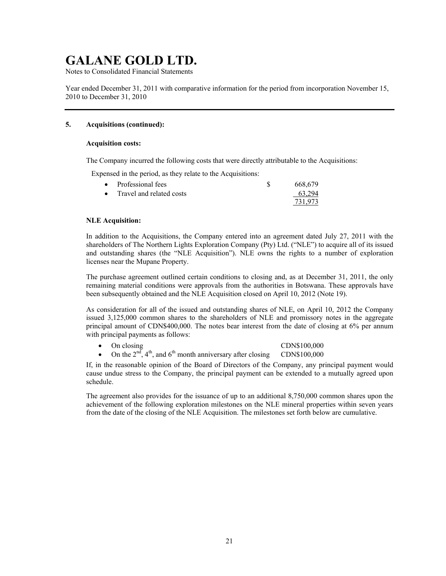Notes to Consolidated Financial Statements

Year ended December 31, 2011 with comparative information for the period from incorporation November 15, 2010 to December 31, 2010

## **5. Acquisitions (continued):**

#### **Acquisition costs:**

The Company incurred the following costs that were directly attributable to the Acquisitions:

Expensed in the period, as they relate to the Acquisitions:

| • Professional fees      | 668.679 |
|--------------------------|---------|
| Travel and related costs | 63.294  |
|                          | 731.973 |

### **NLE Acquisition:**

In addition to the Acquisitions, the Company entered into an agreement dated July 27, 2011 with the shareholders of The Northern Lights Exploration Company (Pty) Ltd. ("NLE") to acquire all of its issued and outstanding shares (the "NLE Acquisition"). NLE owns the rights to a number of exploration licenses near the Mupane Property.

The purchase agreement outlined certain conditions to closing and, as at December 31, 2011, the only remaining material conditions were approvals from the authorities in Botswana. These approvals have been subsequently obtained and the NLE Acquisition closed on April 10, 2012 (Note 19).

As consideration for all of the issued and outstanding shares of NLE, on April 10, 2012 the Company issued 3,125,000 common shares to the shareholders of NLE and promissory notes in the aggregate principal amount of CDN\$400,000. The notes bear interest from the date of closing at 6% per annum with principal payments as follows:

## On closing CDN\$100,000

On the  $2<sup>nd</sup>$ ,  $4<sup>th</sup>$ , and  $6<sup>th</sup>$  month anniversary after closing CDN\$100,000

If, in the reasonable opinion of the Board of Directors of the Company, any principal payment would cause undue stress to the Company, the principal payment can be extended to a mutually agreed upon schedule.

The agreement also provides for the issuance of up to an additional 8,750,000 common shares upon the achievement of the following exploration milestones on the NLE mineral properties within seven years from the date of the closing of the NLE Acquisition. The milestones set forth below are cumulative.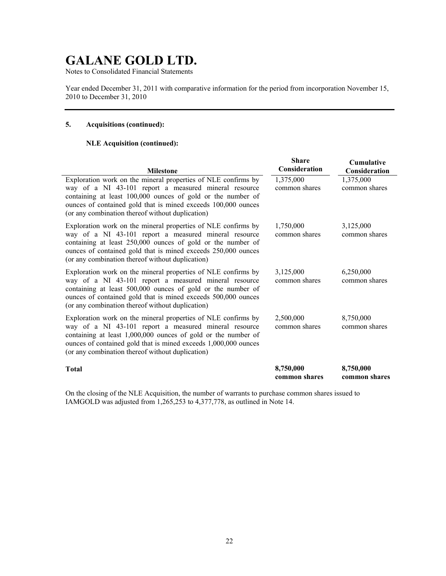Notes to Consolidated Financial Statements

Year ended December 31, 2011 with comparative information for the period from incorporation November 15, 2010 to December 31, 2010

## **5. Acquisitions (continued):**

#### **NLE Acquisition (continued):**

| <b>Milestone</b>                                                                                                                                                                                                                                                                                               | <b>Share</b><br>Consideration | <b>Cumulative</b><br>Consideration |
|----------------------------------------------------------------------------------------------------------------------------------------------------------------------------------------------------------------------------------------------------------------------------------------------------------------|-------------------------------|------------------------------------|
| Exploration work on the mineral properties of NLE confirms by<br>way of a NI 43-101 report a measured mineral resource<br>containing at least 100,000 ounces of gold or the number of<br>ounces of contained gold that is mined exceeds 100,000 ounces<br>(or any combination thereof without duplication)     | 1,375,000<br>common shares    | 1,375,000<br>common shares         |
| Exploration work on the mineral properties of NLE confirms by<br>way of a NI 43-101 report a measured mineral resource<br>containing at least 250,000 ounces of gold or the number of<br>ounces of contained gold that is mined exceeds 250,000 ounces<br>(or any combination thereof without duplication)     | 1,750,000<br>common shares    | 3,125,000<br>common shares         |
| Exploration work on the mineral properties of NLE confirms by<br>way of a NI 43-101 report a measured mineral resource<br>containing at least 500,000 ounces of gold or the number of<br>ounces of contained gold that is mined exceeds 500,000 ounces<br>(or any combination thereof without duplication)     | 3,125,000<br>common shares    | 6,250,000<br>common shares         |
| Exploration work on the mineral properties of NLE confirms by<br>way of a NI 43-101 report a measured mineral resource<br>containing at least 1,000,000 ounces of gold or the number of<br>ounces of contained gold that is mined exceeds 1,000,000 ounces<br>(or any combination thereof without duplication) | 2,500,000<br>common shares    | 8,750,000<br>common shares         |
| <b>Total</b>                                                                                                                                                                                                                                                                                                   | 8,750,000<br>common shares    | 8,750,000<br>common shares         |

On the closing of the NLE Acquisition, the number of warrants to purchase common shares issued to IAMGOLD was adjusted from 1,265,253 to 4,377,778, as outlined in Note 14.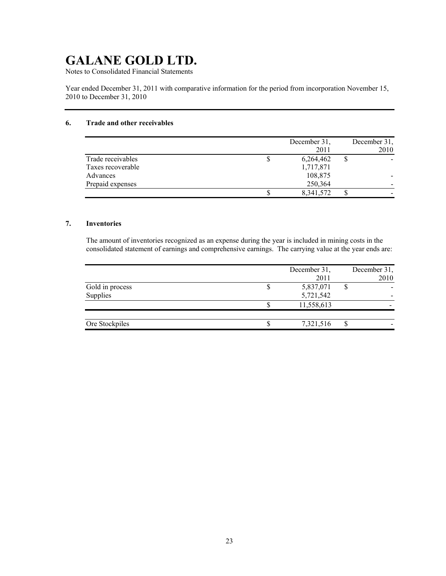Notes to Consolidated Financial Statements

Year ended December 31, 2011 with comparative information for the period from incorporation November 15, 2010 to December 31, 2010

## **6. Trade and other receivables**

|                   |   | December 31. | December 31, |
|-------------------|---|--------------|--------------|
|                   |   | 2011         | 2010         |
| Trade receivables | Φ | 6,264,462    |              |
| Taxes recoverable |   | 1,717,871    |              |
| Advances          |   | 108,875      |              |
| Prepaid expenses  |   | 250,364      |              |
|                   |   | 8,341,572    |              |

### **7. Inventories**

The amount of inventories recognized as an expense during the year is included in mining costs in the consolidated statement of earnings and comprehensive earnings. The carrying value at the year ends are:

|                 | December 31,<br>2011 | December 31,<br>2010 |
|-----------------|----------------------|----------------------|
| Gold in process | 5,837,071            |                      |
| Supplies        | 5,721,542            |                      |
|                 | 11,558,613           |                      |
|                 |                      |                      |
| Ore Stockpiles  | 7,321,516            |                      |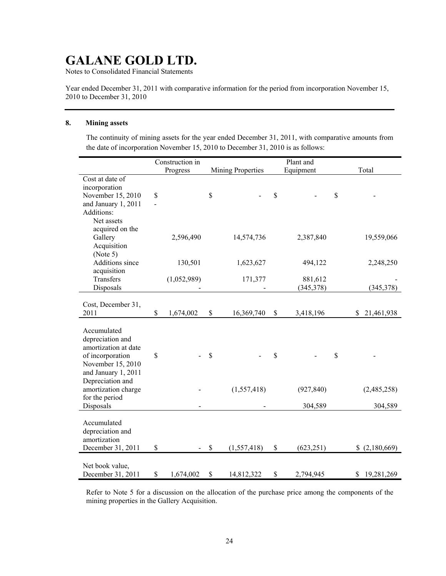Notes to Consolidated Financial Statements

Year ended December 31, 2011 with comparative information for the period from incorporation November 15, 2010 to December 31, 2010

#### **8. Mining assets**

The continuity of mining assets for the year ended December 31, 2011, with comparative amounts from the date of incorporation November 15, 2010 to December 31, 2010 is as follows:

|                      |                | Construction in |                          |               | Plant and  |                  |
|----------------------|----------------|-----------------|--------------------------|---------------|------------|------------------|
|                      |                | Progress        | <b>Mining Properties</b> |               | Equipment  | Total            |
| Cost at date of      |                |                 |                          |               |            |                  |
| incorporation        |                |                 |                          |               |            |                  |
| November 15, 2010    | \$             |                 | \$                       | $\mathsf{\$}$ |            | \$               |
| and January 1, 2011  | $\overline{a}$ |                 |                          |               |            |                  |
| Additions:           |                |                 |                          |               |            |                  |
| Net assets           |                |                 |                          |               |            |                  |
| acquired on the      |                |                 |                          |               |            |                  |
| Gallery              |                | 2,596,490       | 14,574,736               |               | 2,387,840  | 19,559,066       |
| Acquisition          |                |                 |                          |               |            |                  |
| (Note 5)             |                |                 |                          |               |            |                  |
| Additions since      |                | 130,501         | 1,623,627                |               | 494,122    | 2,248,250        |
| acquisition          |                |                 |                          |               |            |                  |
| Transfers            |                | (1,052,989)     | 171,377                  |               | 881,612    |                  |
| Disposals            |                |                 |                          |               | (345,378)  | (345,378)        |
|                      |                |                 |                          |               |            |                  |
| Cost, December 31,   |                |                 |                          |               |            |                  |
| 2011                 | \$             | 1,674,002       | \$<br>16,369,740         | $\mathbb S$   | 3,418,196  | 21,461,938<br>\$ |
|                      |                |                 |                          |               |            |                  |
| Accumulated          |                |                 |                          |               |            |                  |
| depreciation and     |                |                 |                          |               |            |                  |
| amortization at date |                |                 |                          |               |            |                  |
| of incorporation     | \$             |                 | \$                       | \$            |            | \$               |
| November 15, 2010    |                |                 |                          |               |            |                  |
| and January 1, 2011  |                |                 |                          |               |            |                  |
| Depreciation and     |                |                 |                          |               |            |                  |
| amortization charge  |                |                 | (1, 557, 418)            |               | (927, 840) | (2,485,258)      |
| for the period       |                |                 |                          |               |            |                  |
| Disposals            |                |                 |                          |               | 304,589    | 304,589          |
|                      |                |                 |                          |               |            |                  |
| Accumulated          |                |                 |                          |               |            |                  |
| depreciation and     |                |                 |                          |               |            |                  |
| amortization         |                |                 |                          |               |            |                  |
| December 31, 2011    | \$             |                 | \$<br>(1, 557, 418)      | \$            | (623, 251) | (2,180,669)      |
|                      |                |                 |                          |               |            |                  |
| Net book value,      |                |                 |                          |               |            |                  |
| December 31, 2011    | \$             | 1,674,002       | \$<br>14,812,322         | \$            | 2,794,945  | 19,281,269<br>\$ |

Refer to Note 5 for a discussion on the allocation of the purchase price among the components of the mining properties in the Gallery Acquisition.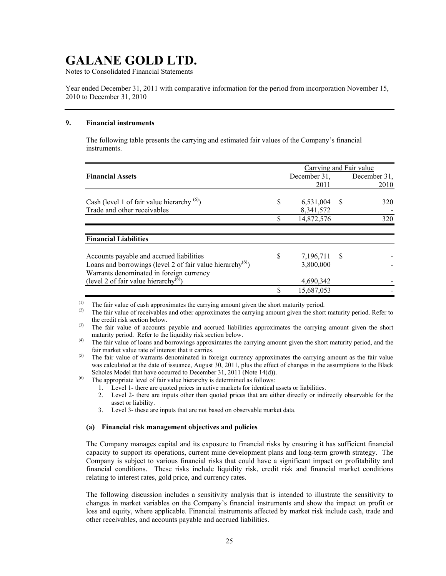Notes to Consolidated Financial Statements

Year ended December 31, 2011 with comparative information for the period from incorporation November 15, 2010 to December 31, 2010

### **9. Financial instruments**

The following table presents the carrying and estimated fair values of the Company's financial instruments.

|                                                                        |    | Carrying and Fair value |    |              |
|------------------------------------------------------------------------|----|-------------------------|----|--------------|
| <b>Financial Assets</b>                                                |    | December 31,            |    | December 31. |
|                                                                        |    | 2011                    |    | 2010         |
|                                                                        |    |                         |    |              |
| Cash (level 1 of fair value hierarchy $(6)$ )                          | \$ | 6,531,004               | -S | 320          |
| Trade and other receivables                                            |    | 8,341,572               |    |              |
|                                                                        | S  | 14,872,576              |    | 320          |
|                                                                        |    |                         |    |              |
| <b>Financial Liabilities</b>                                           |    |                         |    |              |
| Accounts payable and accrued liabilities                               | S  | 7,196,711 \$            |    |              |
| Loans and borrowings (level 2 of fair value hierarchy <sup>(6)</sup> ) |    | 3,800,000               |    |              |
| Warrants denominated in foreign currency                               |    |                         |    |              |
| (level 2 of fair value hierarchy <sup>(6)</sup> )                      |    | 4,690,342               |    |              |
|                                                                        |    | 15,687,053              |    |              |

(1) The fair value of cash approximates the carrying amount given the short maturity period.<br>(2) The fair value of receivables and other approximates the carrying amount given the short

The fair value of receivables and other approximates the carrying amount given the short maturity period. Refer to the credit risk section below.

 $(6)$  The appropriate level of fair value hierarchy is determined as follows:

- 1. Level 1- there are quoted prices in active markets for identical assets or liabilities.
- 2. Level 2- there are inputs other than quoted prices that are either directly or indirectly observable for the asset or liability.
- 3. Level 3- these are inputs that are not based on observable market data.

#### **(a) Financial risk management objectives and policies**

The Company manages capital and its exposure to financial risks by ensuring it has sufficient financial capacity to support its operations, current mine development plans and long-term growth strategy. The Company is subject to various financial risks that could have a significant impact on profitability and financial conditions. These risks include liquidity risk, credit risk and financial market conditions relating to interest rates, gold price, and currency rates.

The following discussion includes a sensitivity analysis that is intended to illustrate the sensitivity to changes in market variables on the Company's financial instruments and show the impact on profit or loss and equity, where applicable. Financial instruments affected by market risk include cash, trade and other receivables, and accounts payable and accrued liabilities.

<sup>&</sup>lt;sup>(3)</sup> The fair value of accounts payable and accrued liabilities approximates the carrying amount given the short maturity period. Refer to the liquidity risk section below.

<sup>(4)</sup> The fair value of loans and borrowings approximates the carrying amount given the short maturity period, and the fair market value rate of interest that it carries.

<sup>(5)</sup> The fair value of warrants denominated in foreign currency approximates the carrying amount as the fair value was calculated at the date of issuance, August 30, 2011, plus the effect of changes in the assumptions to the Black Scholes Model that have occurred to December 31, 2011 (Note 14(d)).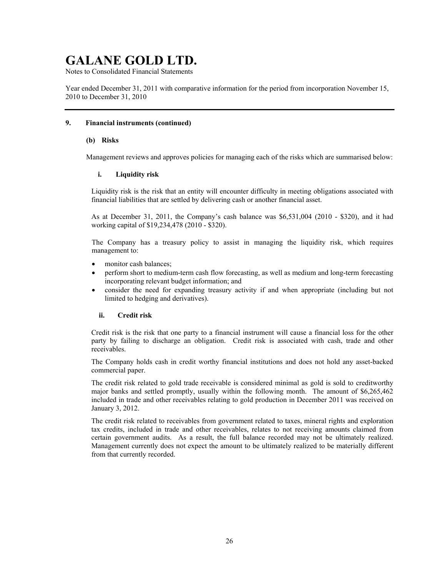Notes to Consolidated Financial Statements

Year ended December 31, 2011 with comparative information for the period from incorporation November 15, 2010 to December 31, 2010

### **9. Financial instruments (continued)**

#### **(b) Risks**

Management reviews and approves policies for managing each of the risks which are summarised below:

#### **i. Liquidity risk**

Liquidity risk is the risk that an entity will encounter difficulty in meeting obligations associated with financial liabilities that are settled by delivering cash or another financial asset.

As at December 31, 2011, the Company's cash balance was \$6,531,004 (2010 - \$320), and it had working capital of \$19,234,478 (2010 - \$320).

The Company has a treasury policy to assist in managing the liquidity risk, which requires management to:

- monitor cash balances;
- perform short to medium-term cash flow forecasting, as well as medium and long-term forecasting incorporating relevant budget information; and
- consider the need for expanding treasury activity if and when appropriate (including but not limited to hedging and derivatives).

### **ii. Credit risk**

Credit risk is the risk that one party to a financial instrument will cause a financial loss for the other party by failing to discharge an obligation. Credit risk is associated with cash, trade and other receivables.

The Company holds cash in credit worthy financial institutions and does not hold any asset-backed commercial paper.

The credit risk related to gold trade receivable is considered minimal as gold is sold to creditworthy major banks and settled promptly, usually within the following month. The amount of \$6,265,462 included in trade and other receivables relating to gold production in December 2011 was received on January 3, 2012.

The credit risk related to receivables from government related to taxes, mineral rights and exploration tax credits, included in trade and other receivables, relates to not receiving amounts claimed from certain government audits. As a result, the full balance recorded may not be ultimately realized. Management currently does not expect the amount to be ultimately realized to be materially different from that currently recorded.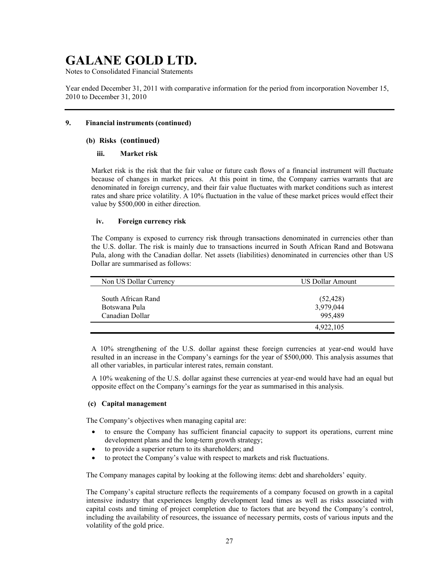Notes to Consolidated Financial Statements

Year ended December 31, 2011 with comparative information for the period from incorporation November 15, 2010 to December 31, 2010

## **9. Financial instruments (continued)**

### **(b) Risks (continued)**

### **iii. Market risk**

Market risk is the risk that the fair value or future cash flows of a financial instrument will fluctuate because of changes in market prices. At this point in time, the Company carries warrants that are denominated in foreign currency, and their fair value fluctuates with market conditions such as interest rates and share price volatility. A 10% fluctuation in the value of these market prices would effect their value by \$500,000 in either direction.

### **iv. Foreign currency risk**

The Company is exposed to currency risk through transactions denominated in currencies other than the U.S. dollar. The risk is mainly due to transactions incurred in South African Rand and Botswana Pula, along with the Canadian dollar. Net assets (liabilities) denominated in currencies other than US Dollar are summarised as follows:

| Non US Dollar Currency | <b>US Dollar Amount</b> |
|------------------------|-------------------------|
|                        |                         |
| South African Rand     | (52, 428)               |
| Botswana Pula          | 3,979,044               |
| Canadian Dollar        | 995,489                 |
|                        | 4,922,105               |

A 10% strengthening of the U.S. dollar against these foreign currencies at year-end would have resulted in an increase in the Company's earnings for the year of \$500,000. This analysis assumes that all other variables, in particular interest rates, remain constant.

A 10% weakening of the U.S. dollar against these currencies at year-end would have had an equal but opposite effect on the Company's earnings for the year as summarised in this analysis.

## **(c) Capital management**

The Company's objectives when managing capital are:

- to ensure the Company has sufficient financial capacity to support its operations, current mine development plans and the long-term growth strategy;
- to provide a superior return to its shareholders; and
- to protect the Company's value with respect to markets and risk fluctuations.

The Company manages capital by looking at the following items: debt and shareholders' equity.

The Company's capital structure reflects the requirements of a company focused on growth in a capital intensive industry that experiences lengthy development lead times as well as risks associated with capital costs and timing of project completion due to factors that are beyond the Company's control, including the availability of resources, the issuance of necessary permits, costs of various inputs and the volatility of the gold price.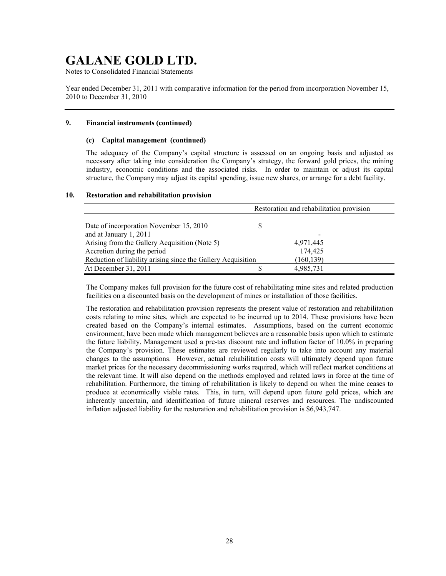Notes to Consolidated Financial Statements

Year ended December 31, 2011 with comparative information for the period from incorporation November 15, 2010 to December 31, 2010

### **9. Financial instruments (continued)**

#### **(c) Capital management (continued)**

The adequacy of the Company's capital structure is assessed on an ongoing basis and adjusted as necessary after taking into consideration the Company's strategy, the forward gold prices, the mining industry, economic conditions and the associated risks. In order to maintain or adjust its capital structure, the Company may adjust its capital spending, issue new shares, or arrange for a debt facility.

#### **10. Restoration and rehabilitation provision**

|                                                              |   | Restoration and rehabilitation provision |
|--------------------------------------------------------------|---|------------------------------------------|
|                                                              |   |                                          |
| Date of incorporation November 15, 2010                      | S |                                          |
| and at January 1, 2011                                       |   |                                          |
| Arising from the Gallery Acquisition (Note 5)                |   | 4,971,445                                |
| Accretion during the period                                  |   | 174,425                                  |
| Reduction of liability arising since the Gallery Acquisition |   | (160, 139)                               |
| At December 31, 2011                                         |   | 4,985,731                                |

The Company makes full provision for the future cost of rehabilitating mine sites and related production facilities on a discounted basis on the development of mines or installation of those facilities.

The restoration and rehabilitation provision represents the present value of restoration and rehabilitation costs relating to mine sites, which are expected to be incurred up to 2014. These provisions have been created based on the Company's internal estimates. Assumptions, based on the current economic environment, have been made which management believes are a reasonable basis upon which to estimate the future liability. Management used a pre-tax discount rate and inflation factor of 10.0% in preparing the Company's provision. These estimates are reviewed regularly to take into account any material changes to the assumptions. However, actual rehabilitation costs will ultimately depend upon future market prices for the necessary decommissioning works required, which will reflect market conditions at the relevant time. It will also depend on the methods employed and related laws in force at the time of rehabilitation. Furthermore, the timing of rehabilitation is likely to depend on when the mine ceases to produce at economically viable rates. This, in turn, will depend upon future gold prices, which are inherently uncertain, and identification of future mineral reserves and resources. The undiscounted inflation adjusted liability for the restoration and rehabilitation provision is \$6,943,747.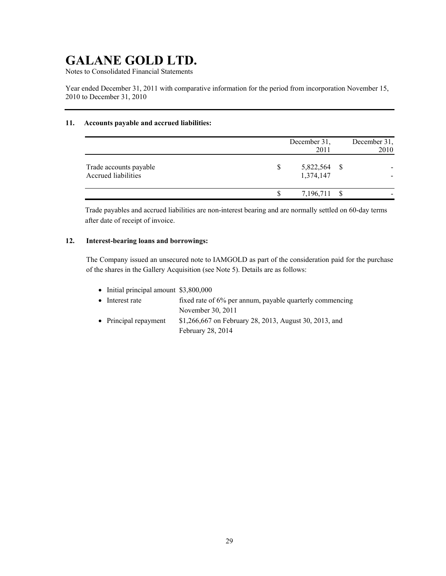Notes to Consolidated Financial Statements

Year ended December 31, 2011 with comparative information for the period from incorporation November 15, 2010 to December 31, 2010

## **11. Accounts payable and accrued liabilities:**

|                                                      | December 31,<br>2011      | December 31,<br>2010 |
|------------------------------------------------------|---------------------------|----------------------|
| Trade accounts payable<br><b>Accrued liabilities</b> | 5,822,564 \$<br>1,374,147 |                      |
|                                                      | 7,196,711 \$              |                      |

Trade payables and accrued liabilities are non-interest bearing and are normally settled on 60-day terms after date of receipt of invoice.

## **12. Interest-bearing loans and borrowings:**

The Company issued an unsecured note to IAMGOLD as part of the consideration paid for the purchase of the shares in the Gallery Acquisition (see Note 5). Details are as follows:

 $\bullet$  Initial principal amount \$3,800,000 • Interest rate fixed rate of 6% per annum, payable quarterly commencing November 30, 2011 • Principal repayment  $$1,266,667$  on February 28, 2013, August 30, 2013, and

February 28, 2014

29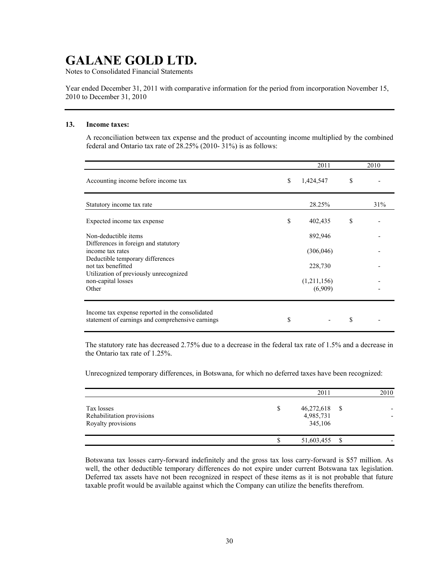Notes to Consolidated Financial Statements

Year ended December 31, 2011 with comparative information for the period from incorporation November 15, 2010 to December 31, 2010

#### **13. Income taxes:**

A reconciliation between tax expense and the product of accounting income multiplied by the combined federal and Ontario tax rate of 28.25% (2010- 31%) is as follows:

|                                                                                                     | 2011                   | 2010 |
|-----------------------------------------------------------------------------------------------------|------------------------|------|
| Accounting income before income tax                                                                 | \$<br>1,424,547        | \$   |
| Statutory income tax rate                                                                           | 28.25%                 | 31%  |
| Expected income tax expense                                                                         | \$<br>402,435          | \$   |
| Non-deductible items<br>Differences in foreign and statutory                                        | 892,946                |      |
| income tax rates<br>Deductible temporary differences                                                | (306, 046)             |      |
| not tax benefitted<br>Utilization of previously unrecognized                                        | 228,730                |      |
| non-capital losses<br>Other                                                                         | (1,211,156)<br>(6,909) |      |
|                                                                                                     |                        |      |
| Income tax expense reported in the consolidated<br>statement of earnings and comprehensive earnings | \$                     | \$   |

The statutory rate has decreased 2.75% due to a decrease in the federal tax rate of 1.5% and a decrease in the Ontario tax rate of 1.25%.

Unrecognized temporary differences, in Botswana, for which no deferred taxes have been recognized:

|                                                               | 2011                                    |      | 2010 |
|---------------------------------------------------------------|-----------------------------------------|------|------|
| Tax losses<br>Rehabilitation provisions<br>Royalty provisions | $46,272,618$ \$<br>4,985,731<br>345,106 |      |      |
|                                                               | 51,603,455                              | - \$ |      |

Botswana tax losses carry-forward indefinitely and the gross tax loss carry-forward is \$57 million. As well, the other deductible temporary differences do not expire under current Botswana tax legislation. Deferred tax assets have not been recognized in respect of these items as it is not probable that future taxable profit would be available against which the Company can utilize the benefits therefrom.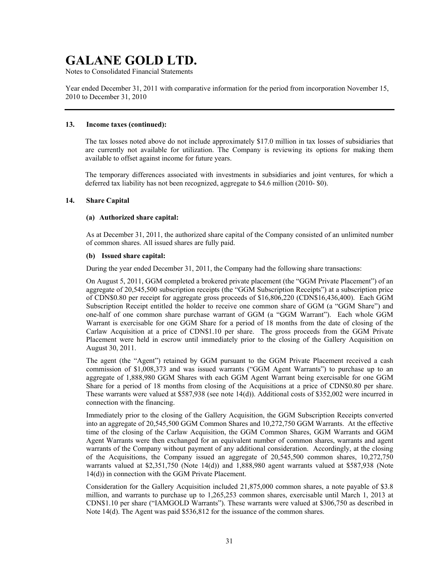Notes to Consolidated Financial Statements

Year ended December 31, 2011 with comparative information for the period from incorporation November 15, 2010 to December 31, 2010

#### **13. Income taxes (continued):**

The tax losses noted above do not include approximately \$17.0 million in tax losses of subsidiaries that are currently not available for utilization. The Company is reviewing its options for making them available to offset against income for future years.

The temporary differences associated with investments in subsidiaries and joint ventures, for which a deferred tax liability has not been recognized, aggregate to \$4.6 million (2010- \$0).

#### **14. Share Capital**

#### **(a) Authorized share capital:**

As at December 31, 2011, the authorized share capital of the Company consisted of an unlimited number of common shares. All issued shares are fully paid.

#### **(b) Issued share capital:**

During the year ended December 31, 2011, the Company had the following share transactions:

On August 5, 2011, GGM completed a brokered private placement (the "GGM Private Placement") of an aggregate of 20,545,500 subscription receipts (the "GGM Subscription Receipts") at a subscription price of CDN\$0.80 per receipt for aggregate gross proceeds of \$16,806,220 (CDN\$16,436,400). Each GGM Subscription Receipt entitled the holder to receive one common share of GGM (a "GGM Share") and one-half of one common share purchase warrant of GGM (a "GGM Warrant"). Each whole GGM Warrant is exercisable for one GGM Share for a period of 18 months from the date of closing of the Carlaw Acquisition at a price of CDN\$1.10 per share. The gross proceeds from the GGM Private Placement were held in escrow until immediately prior to the closing of the Gallery Acquisition on August 30, 2011.

The agent (the "Agent") retained by GGM pursuant to the GGM Private Placement received a cash commission of \$1,008,373 and was issued warrants ("GGM Agent Warrants") to purchase up to an aggregate of 1,888,980 GGM Shares with each GGM Agent Warrant being exercisable for one GGM Share for a period of 18 months from closing of the Acquisitions at a price of CDN\$0.80 per share. These warrants were valued at \$587,938 (see note 14(d)). Additional costs of \$352,002 were incurred in connection with the financing.

Immediately prior to the closing of the Gallery Acquisition, the GGM Subscription Receipts converted into an aggregate of 20,545,500 GGM Common Shares and 10,272,750 GGM Warrants. At the effective time of the closing of the Carlaw Acquisition, the GGM Common Shares, GGM Warrants and GGM Agent Warrants were then exchanged for an equivalent number of common shares, warrants and agent warrants of the Company without payment of any additional consideration. Accordingly, at the closing of the Acquisitions, the Company issued an aggregate of 20,545,500 common shares, 10,272,750 warrants valued at \$2,351,750 (Note 14(d)) and 1,888,980 agent warrants valued at \$587,938 (Note 14(d)) in connection with the GGM Private Placement.

Consideration for the Gallery Acquisition included 21,875,000 common shares, a note payable of \$3.8 million, and warrants to purchase up to 1,265,253 common shares, exercisable until March 1, 2013 at CDN\$1.10 per share ("IAMGOLD Warrants"). These warrants were valued at \$306,750 as described in Note 14(d). The Agent was paid \$536,812 for the issuance of the common shares.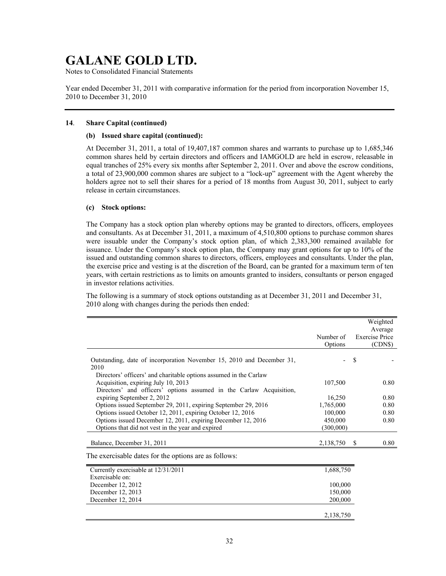Notes to Consolidated Financial Statements

Year ended December 31, 2011 with comparative information for the period from incorporation November 15, 2010 to December 31, 2010

#### **14**. **Share Capital (continued)**

#### **(b) Issued share capital (continued):**

At December 31, 2011, a total of 19,407,187 common shares and warrants to purchase up to 1,685,346 common shares held by certain directors and officers and IAMGOLD are held in escrow, releasable in equal tranches of 25% every six months after September 2, 2011. Over and above the escrow conditions, a total of 23,900,000 common shares are subject to a "lock-up" agreement with the Agent whereby the holders agree not to sell their shares for a period of 18 months from August 30, 2011, subject to early release in certain circumstances.

### **(c) Stock options:**

The Company has a stock option plan whereby options may be granted to directors, officers, employees and consultants. As at December 31, 2011, a maximum of 4,510,800 options to purchase common shares were issuable under the Company's stock option plan, of which 2,383,300 remained available for issuance. Under the Company's stock option plan, the Company may grant options for up to 10% of the issued and outstanding common shares to directors, officers, employees and consultants. Under the plan, the exercise price and vesting is at the discretion of the Board, can be granted for a maximum term of ten years, with certain restrictions as to limits on amounts granted to insiders, consultants or person engaged in investor relations activities.

The following is a summary of stock options outstanding as at December 31, 2011 and December 31, 2010 along with changes during the periods then ended:

|                                                                               |           |                       | Weighted |
|-------------------------------------------------------------------------------|-----------|-----------------------|----------|
|                                                                               |           |                       | Average  |
|                                                                               | Number of | <b>Exercise Price</b> |          |
|                                                                               | Options   |                       | (CDNS)   |
| Outstanding, date of incorporation November 15, 2010 and December 31,<br>2010 |           | \$                    |          |
| Directors' officers' and charitable options assumed in the Carlaw             |           |                       |          |
| Acquisition, expiring July 10, 2013                                           | 107,500   |                       | 0.80     |
| Directors' and officers' options assumed in the Carlaw Acquisition,           |           |                       |          |
| expiring September 2, 2012                                                    | 16,250    |                       | 0.80     |
| Options issued September 29, 2011, expiring September 29, 2016                | 1,765,000 |                       | 0.80     |
| Options issued October 12, 2011, expiring October 12, 2016                    | 100,000   |                       | 0.80     |
| Options issued December 12, 2011, expiring December 12, 2016                  | 450,000   |                       | 0.80     |
| Options that did not vest in the year and expired                             | (300,000) |                       |          |
| Balance, December 31, 2011                                                    | 2,138,750 | S                     | 0.80     |
| The exercisable dates for the options are as follows:                         |           |                       |          |
| Currently exercisable at 12/31/2011                                           | 1,688,750 |                       |          |
| Exercisable on:                                                               |           |                       |          |
| December 12, 2012                                                             | 100,000   |                       |          |
| December 12, 2013                                                             | 150,000   |                       |          |
| December 12, 2014                                                             | 200,000   |                       |          |
|                                                                               | 2,138,750 |                       |          |
|                                                                               |           |                       |          |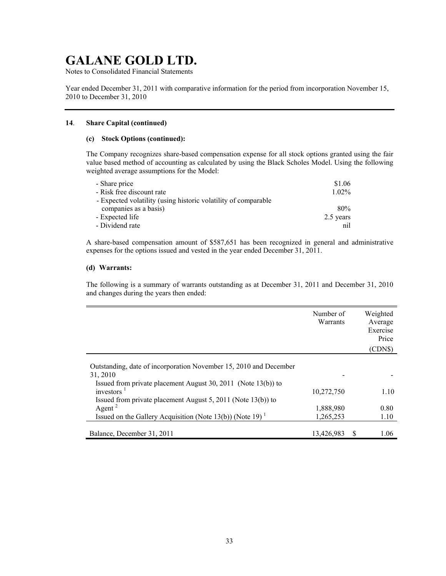Notes to Consolidated Financial Statements

Year ended December 31, 2011 with comparative information for the period from incorporation November 15, 2010 to December 31, 2010

#### **14**. **Share Capital (continued)**

#### **(c) Stock Options (continued):**

The Company recognizes share-based compensation expense for all stock options granted using the fair value based method of accounting as calculated by using the Black Scholes Model. Using the following weighted average assumptions for the Model:

| - Share price                                                  | \$1.06    |
|----------------------------------------------------------------|-----------|
| - Risk free discount rate                                      | $1.02\%$  |
| - Expected volatility (using historic volatility of comparable |           |
| companies as a basis)                                          | 80%       |
| - Expected life                                                | 2.5 years |
| - Dividend rate                                                | nil       |

A share-based compensation amount of \$587,651 has been recognized in general and administrative expenses for the options issued and vested in the year ended December 31, 2011.

#### **(d) Warrants:**

The following is a summary of warrants outstanding as at December 31, 2011 and December 31, 2010 and changes during the years then ended:

|                                                                       | Number of<br>Warrants |   | Weighted<br>Average<br>Exercise<br>Price<br>(CDN\$) |
|-----------------------------------------------------------------------|-----------------------|---|-----------------------------------------------------|
|                                                                       |                       |   |                                                     |
| Outstanding, date of incorporation November 15, 2010 and December     |                       |   |                                                     |
| 31, 2010                                                              |                       |   |                                                     |
| Issued from private placement August 30, 2011 (Note $13(b)$ ) to      |                       |   |                                                     |
| investors $1$                                                         | 10,272,750            |   | 1.10                                                |
| Issued from private placement August 5, 2011 (Note $13(b)$ ) to       |                       |   |                                                     |
| Agent <sup>2</sup>                                                    | 1,888,980             |   | 0.80                                                |
| Issued on the Gallery Acquisition (Note 13(b)) (Note 19) <sup>1</sup> | 1,265,253             |   | 1.10                                                |
|                                                                       |                       |   |                                                     |
| Balance, December 31, 2011                                            | 13,426,983            | S | 1.06                                                |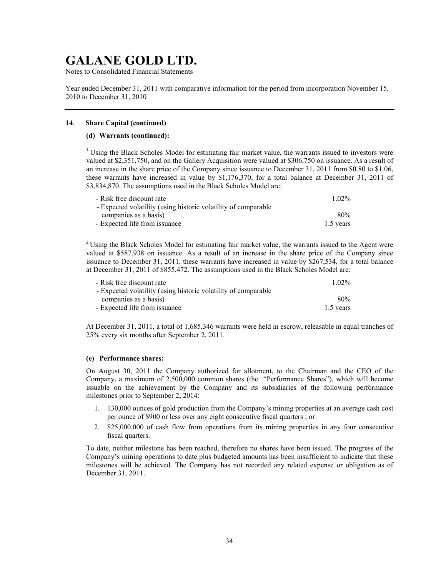Notes to Consolidated Financial Statements

Year ended December 31, 2011 with comparative information for the period from incorporation November 15, 2010 to December 31, 2010

#### **14**. **Share Capital (continued)**

#### **(d) Warrants (continued):**

<sup>1</sup> Using the Black Scholes Model for estimating fair market value, the warrants issued to investors were valued at \$2,351,750, and on the Gallery Acquisition were valued at \$306,750 on issuance. As a result of an increase in the share price of the Company since issuance to December 31, 2011 from \$0.80 to \$1.06, these warrants have increased in value by \$1,176,370, for a total balance at December 31, 2011 of \$3,834,870. The assumptions used in the Black Scholes Model are:

| - Risk free discount rate                                      | $1.02\%$  |
|----------------------------------------------------------------|-----------|
| - Expected volatility (using historic volatility of comparable |           |
| companies as a basis)                                          | 80%       |
| - Expected life from issuance                                  | 1.5 years |

<sup>2</sup> Using the Black Scholes Model for estimating fair market value, the warrants issued to the Agent were valued at \$587,938 on issuance. As a result of an increase in the share price of the Company since issuance to December 31, 2011, these warrants have increased in value by \$267,534, for a total balance at December 31, 2011 of \$855,472. The assumptions used in the Black Scholes Model are:

| - Risk free discount rate                                      | $1.02\%$  |
|----------------------------------------------------------------|-----------|
| - Expected volatility (using historic volatility of comparable |           |
| companies as a basis)                                          | 80%       |
| - Expected life from issuance                                  | 1.5 years |

At December 31, 2011, a total of 1,685,346 warrants were held in escrow, releasable in equal tranches of 25% every six months after September 2, 2011.

#### **(e) Performance shares:**

On August 30, 2011 the Company authorized for allotment, to the Chairman and the CEO of the Company, a maximum of 2,500,000 common shares (the "Performance Shares"), which will become issuable on the achievement by the Company and its subsidiaries of the following performance milestones prior to September 2, 2014:

- 1. 130,000 ounces of gold production from the Company's mining properties at an average cash cost per ounce of \$900 or less over any eight consecutive fiscal quarters ; or
- 2. \$25,000,000 of cash flow from operations from its mining properties in any four consecutive fiscal quarters.

To date, neither milestone has been reached, therefore no shares have been issued. The progress of the Company's mining operations to date plus budgeted amounts has been insufficient to indicate that these milestones will be achieved. The Company has not recorded any related expense or obligation as of December 31, 2011.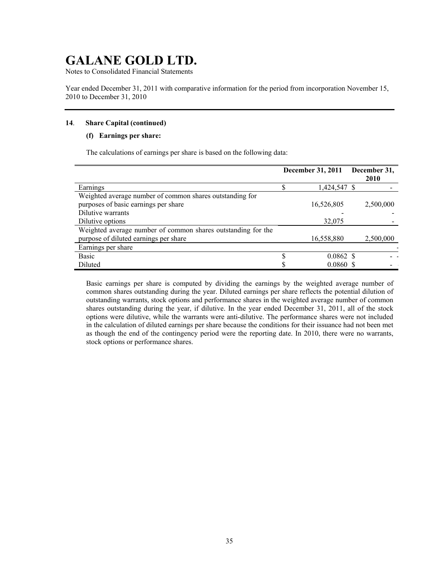Notes to Consolidated Financial Statements

Year ended December 31, 2011 with comparative information for the period from incorporation November 15, 2010 to December 31, 2010

## **14**. **Share Capital (continued)**

## **(f) Earnings per share:**

The calculations of earnings per share is based on the following data:

|                                                              | <b>December 31, 2011</b> |                    | December 31, |
|--------------------------------------------------------------|--------------------------|--------------------|--------------|
|                                                              |                          |                    | 2010         |
| Earnings                                                     |                          | 1,424,547 \$       |              |
| Weighted average number of common shares outstanding for     |                          |                    |              |
| purposes of basic earnings per share                         |                          | 16,526,805         | 2,500,000    |
| Dilutive warrants                                            |                          |                    |              |
| Dilutive options                                             |                          | 32,075             |              |
| Weighted average number of common shares outstanding for the |                          |                    |              |
| purpose of diluted earnings per share                        |                          | 16,558,880         | 2,500,000    |
| Earnings per share                                           |                          |                    |              |
| Basic                                                        |                          | $0.0862 \text{ S}$ |              |
| Diluted                                                      |                          | 0.0860 S           |              |

Basic earnings per share is computed by dividing the earnings by the weighted average number of common shares outstanding during the year. Diluted earnings per share reflects the potential dilution of outstanding warrants, stock options and performance shares in the weighted average number of common shares outstanding during the year, if dilutive. In the year ended December 31, 2011, all of the stock options were dilutive, while the warrants were anti-dilutive. The performance shares were not included in the calculation of diluted earnings per share because the conditions for their issuance had not been met as though the end of the contingency period were the reporting date. In 2010, there were no warrants, stock options or performance shares.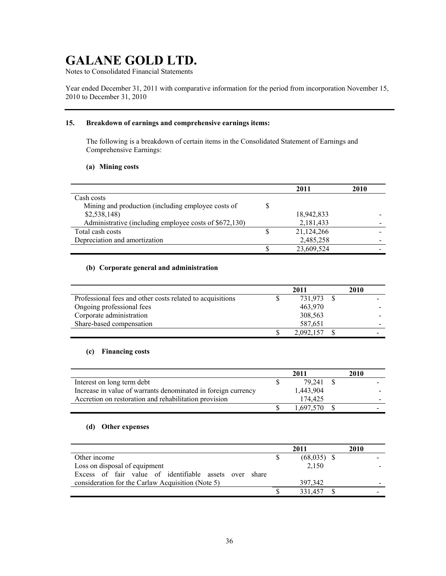Notes to Consolidated Financial Statements

Year ended December 31, 2011 with comparative information for the period from incorporation November 15, 2010 to December 31, 2010

### **15. Breakdown of earnings and comprehensive earnings items:**

The following is a breakdown of certain items in the Consolidated Statement of Earnings and Comprehensive Earnings:

### **(a) Mining costs**

|                                                        | 2011       | 2010 |
|--------------------------------------------------------|------------|------|
| Cash costs                                             |            |      |
| Mining and production (including employee costs of     |            |      |
| \$2,538,148                                            | 18,942,833 |      |
| Administrative (including employee costs of \$672,130) | 2,181,433  |      |
| Total cash costs                                       | 21,124,266 |      |
| Depreciation and amortization                          | 2,485,258  |      |
|                                                        | 23,609,524 |      |

## **(b) Corporate general and administration**

|                                                           | 2011      | 2010 |  |
|-----------------------------------------------------------|-----------|------|--|
| Professional fees and other costs related to acquisitions | 731,973   |      |  |
| Ongoing professional fees                                 | 463,970   |      |  |
| Corporate administration                                  | 308,563   |      |  |
| Share-based compensation                                  | 587,651   |      |  |
|                                                           | 2,092,157 |      |  |

## **(c) Financing costs**

|                                                               | 2011      | 2010 |  |
|---------------------------------------------------------------|-----------|------|--|
| Interest on long term debt                                    | 79.241    |      |  |
| Increase in value of warrants denominated in foreign currency | 1,443,904 |      |  |
| Accretion on restoration and rehabilitation provision         | 174.425   |      |  |
|                                                               | 1.697.570 |      |  |

## **(d) Other expenses**

|                                                        | 2011          | 2010 |
|--------------------------------------------------------|---------------|------|
| Other income                                           | $(68,035)$ \$ |      |
| Loss on disposal of equipment                          | 2,150         |      |
| Excess of fair value of identifiable assets over share |               |      |
| consideration for the Carlaw Acquisition (Note 5)      | 397.342       | -    |
|                                                        | 331.457       |      |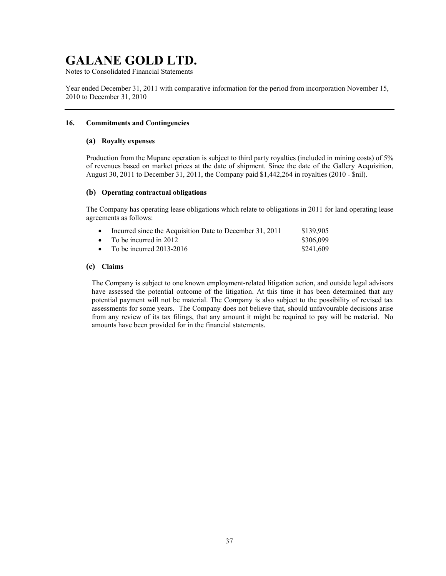Notes to Consolidated Financial Statements

Year ended December 31, 2011 with comparative information for the period from incorporation November 15, 2010 to December 31, 2010

### **16. Commitments and Contingencies**

#### **(a) Royalty expenses**

Production from the Mupane operation is subject to third party royalties (included in mining costs) of 5% of revenues based on market prices at the date of shipment. Since the date of the Gallery Acquisition, August 30, 2011 to December 31, 2011, the Company paid \$1,442,264 in royalties (2010 - \$nil).

#### **(b) Operating contractual obligations**

The Company has operating lease obligations which relate to obligations in 2011 for land operating lease agreements as follows:

| $\bullet$ | Incurred since the Acquisition Date to December 31, 2011 | \$139.905 |
|-----------|----------------------------------------------------------|-----------|
|           | • To be incurred in 2012                                 | \$306.099 |
|           | • To be incurred $2013-2016$                             | \$241,609 |

#### **(c) Claims**

The Company is subject to one known employment-related litigation action, and outside legal advisors have assessed the potential outcome of the litigation. At this time it has been determined that any potential payment will not be material. The Company is also subject to the possibility of revised tax assessments for some years. The Company does not believe that, should unfavourable decisions arise from any review of its tax filings, that any amount it might be required to pay will be material. No amounts have been provided for in the financial statements.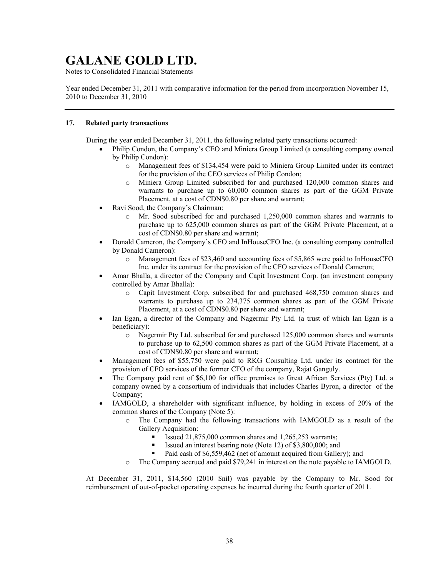Notes to Consolidated Financial Statements

Year ended December 31, 2011 with comparative information for the period from incorporation November 15, 2010 to December 31, 2010

### **17. Related party transactions**

During the year ended December 31, 2011, the following related party transactions occurred:

- x Philip Condon, the Company's CEO and Miniera Group Limited (a consulting company owned by Philip Condon):
	- o Management fees of \$134,454 were paid to Miniera Group Limited under its contract for the provision of the CEO services of Philip Condon;
	- o Miniera Group Limited subscribed for and purchased 120,000 common shares and warrants to purchase up to 60,000 common shares as part of the GGM Private Placement, at a cost of CDN\$0.80 per share and warrant;
- Ravi Sood, the Company's Chairman:
	- o Mr. Sood subscribed for and purchased 1,250,000 common shares and warrants to purchase up to 625,000 common shares as part of the GGM Private Placement, at a cost of CDN\$0.80 per share and warrant;
- Donald Cameron, the Company's CFO and InHouseCFO Inc. (a consulting company controlled by Donald Cameron):
	- o Management fees of \$23,460 and accounting fees of \$5,865 were paid to InHouseCFO Inc. under its contract for the provision of the CFO services of Donald Cameron;
- Amar Bhalla, a director of the Company and Capit Investment Corp. (an investment company controlled by Amar Bhalla):
	- o Capit Investment Corp. subscribed for and purchased 468,750 common shares and warrants to purchase up to 234,375 common shares as part of the GGM Private Placement, at a cost of CDN\$0.80 per share and warrant;
- Ian Egan, a director of the Company and Nagermir Pty Ltd. (a trust of which Ian Egan is a beneficiary):
	- o Nagermir Pty Ltd. subscribed for and purchased 125,000 common shares and warrants to purchase up to 62,500 common shares as part of the GGM Private Placement, at a cost of CDN\$0.80 per share and warrant;
- Management fees of \$55,750 were paid to RKG Consulting Ltd. under its contract for the provision of CFO services of the former CFO of the company, Rajat Ganguly.
- x The Company paid rent of \$6,100 for office premises to Great African Services (Pty) Ltd. a company owned by a consortium of individuals that includes Charles Byron, a director of the Company;
- IAMGOLD, a shareholder with significant influence, by holding in excess of 20% of the common shares of the Company (Note 5):
	- o The Company had the following transactions with IAMGOLD as a result of the Gallery Acquisition:
		- **Issued 21,875,000 common shares and 1,265,253 warrants;**
		- Issued an interest bearing note (Note 12) of \$3,800,000; and
		- Paid cash of \$6,559,462 (net of amount acquired from Gallery); and
	- o The Company accrued and paid \$79,241 in interest on the note payable to IAMGOLD.

At December 31, 2011, \$14,560 (2010 \$nil) was payable by the Company to Mr. Sood for reimbursement of out-of-pocket operating expenses he incurred during the fourth quarter of 2011.